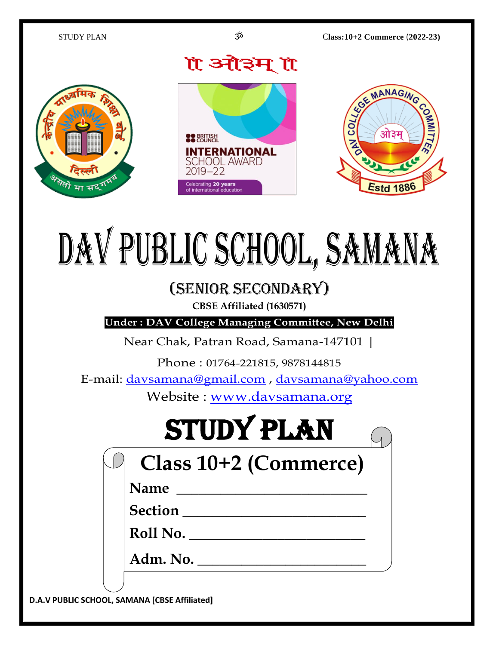

# DAV PUBLIC SCHOOL, SAMANA

## (Senior Secondary)

**CBSE Affiliated (1630571)**

**Under : DAV College Managing Committee, New Delhi**

Near Chak, Patran Road, Samana-147101 |

Phone : 01764-221815, 9878144815

E-mail: [davsamana@gmail.com](mailto:davsamana@gmail.com) , [davsamana@yahoo.com](mailto:davsamana@yahoo.com)

Website : [www.davsamana.org](http://www.davsamana.org/)

# STUDY PLAN

| Class 10+2 (Commerce) |  |
|-----------------------|--|
|-----------------------|--|

**Name \_\_\_\_\_\_\_\_\_\_\_\_\_\_\_\_\_\_\_\_\_\_\_\_\_\_** 

**Section \_\_\_\_\_\_\_\_\_\_\_\_\_\_\_\_\_\_\_\_\_\_\_\_\_** 

**Roll No. \_\_\_\_\_\_\_\_\_\_\_\_\_\_\_\_\_\_\_\_\_\_\_\_**

**Adm. No. \_\_\_\_\_\_\_\_\_\_\_\_\_\_\_\_\_\_\_\_\_\_\_**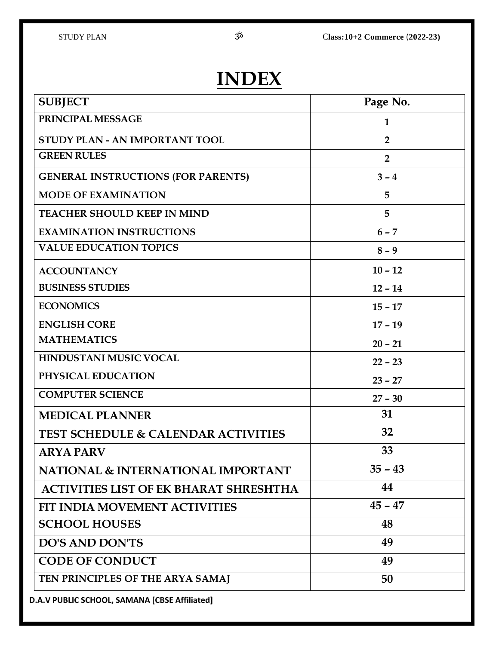## **INDEX**

| <b>SUBJECT</b>                                 | Page No.       |
|------------------------------------------------|----------------|
| PRINCIPAL MESSAGE                              | $\mathbf{1}$   |
| STUDY PLAN - AN IMPORTANT TOOL                 | $\overline{2}$ |
| <b>GREEN RULES</b>                             | $\overline{2}$ |
| <b>GENERAL INSTRUCTIONS (FOR PARENTS)</b>      | $3 - 4$        |
| <b>MODE OF EXAMINATION</b>                     | 5              |
| <b>TEACHER SHOULD KEEP IN MIND</b>             | 5              |
| <b>EXAMINATION INSTRUCTIONS</b>                | $6 - 7$        |
| <b>VALUE EDUCATION TOPICS</b>                  | $8 - 9$        |
| <b>ACCOUNTANCY</b>                             | $10 - 12$      |
| <b>BUSINESS STUDIES</b>                        | $12 - 14$      |
| <b>ECONOMICS</b>                               | $15 - 17$      |
| <b>ENGLISH CORE</b>                            | $17 - 19$      |
| <b>MATHEMATICS</b>                             | $20 - 21$      |
| HINDUSTANI MUSIC VOCAL                         | $22 - 23$      |
| PHYSICAL EDUCATION                             | $23 - 27$      |
| <b>COMPUTER SCIENCE</b>                        | $27 - 30$      |
| <b>MEDICAL PLANNER</b>                         | 31             |
| <b>TEST SCHEDULE &amp; CALENDAR ACTIVITIES</b> | 32             |
| <b>ARYA PARV</b>                               | 33             |
| <b>NATIONAL &amp; INTERNATIONAL IMPORTANT</b>  | $35 - 43$      |
| <b>ACTIVITIES LIST OF EK BHARAT SHRESHTHA</b>  | 44             |
| FIT INDIA MOVEMENT ACTIVITIES                  | $45 - 47$      |
| <b>SCHOOL HOUSES</b>                           | 48             |
| <b>DO'S AND DON'TS</b>                         | 49             |
| <b>CODE OF CONDUCT</b>                         | 49             |
| TEN PRINCIPLES OF THE ARYA SAMAJ               | 50             |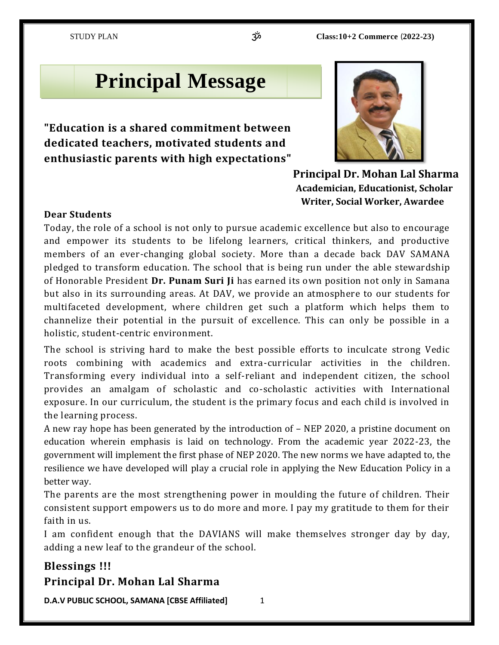## **Principal Message**

**"Education is a shared commitment between dedicated teachers, motivated students and enthusiastic parents with high expectations"** 



 **Principal Dr. Mohan Lal Sharma Academician, Educationist, Scholar Writer, Social Worker, Awardee**

#### **Dear Students**

Today, the role of a school is not only to pursue academic excellence but also to encourage and empower its students to be lifelong learners, critical thinkers, and productive members of an ever-changing global society. More than a decade back DAV SAMANA pledged to transform education. The school that is being run under the able stewardship of Honorable President **Dr. Punam Suri Ji** has earned its own position not only in Samana but also in its surrounding areas. At DAV, we provide an atmosphere to our students for multifaceted development, where children get such a platform which helps them to channelize their potential in the pursuit of excellence. This can only be possible in a holistic, student-centric environment.

The school is striving hard to make the best possible efforts to inculcate strong Vedic roots combining with academics and extra-curricular activities in the children. Transforming every individual into a self-reliant and independent citizen, the school provides an amalgam of scholastic and co-scholastic activities with International exposure. In our curriculum, the student is the primary focus and each child is involved in the learning process.

A new ray hope has been generated by the introduction of – NEP 2020, a pristine document on education wherein emphasis is laid on technology. From the academic year 2022-23, the government will implement the first phase of NEP 2020. The new norms we have adapted to, the resilience we have developed will play a crucial role in applying the New Education Policy in a better way.

The parents are the most strengthening power in moulding the future of children. Their consistent support empowers us to do more and more. I pay my gratitude to them for their faith in us.

I am confident enough that the DAVIANS will make themselves stronger day by day, adding a new leaf to the grandeur of the school.

#### **Blessings !!! Principal Dr. Mohan Lal Sharma**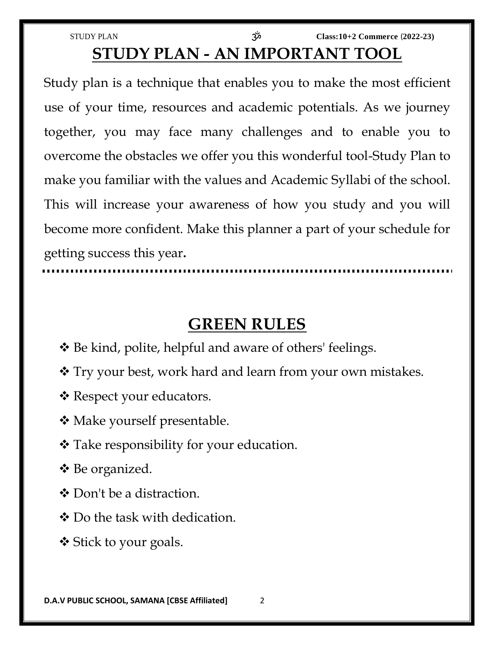STUDY PLAN ॐ **Class:10+2 Commerce** (**2022-23) STUDY PLAN - AN IMPORTANT TOOL**

Study plan is a technique that enables you to make the most efficient use of your time, resources and academic potentials. As we journey together, you may face many challenges and to enable you to overcome the obstacles we offer you this wonderful tool-Study Plan to make you familiar with the values and Academic Syllabi of the school. This will increase your awareness of how you study and you will become more confident. Make this planner a part of your schedule for getting success this year**.**

## **GREEN RULES**

- Be kind, polite, helpful and aware of others' feelings.
- Try your best, work hard and learn from your own mistakes.
- \* Respect your educators.
- **❖** Make yourself presentable.
- Take responsibility for your education.
- Be organized.
- ❖ Don't be a distraction.
- Do the task with dedication.
- **❖** Stick to your goals.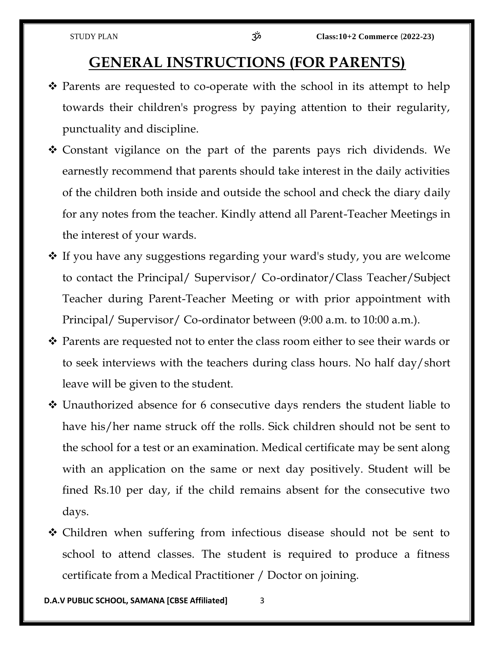### **GENERAL INSTRUCTIONS (FOR PARENTS)**

- $\hat{\mathbf{v}}$  Parents are requested to co-operate with the school in its attempt to help towards their children's progress by paying attention to their regularity, punctuality and discipline.
- Constant vigilance on the part of the parents pays rich dividends. We earnestly recommend that parents should take interest in the daily activities of the children both inside and outside the school and check the diary daily for any notes from the teacher. Kindly attend all Parent-Teacher Meetings in the interest of your wards.
- $\cdot$  If you have any suggestions regarding your ward's study, you are welcome to contact the Principal/ Supervisor/ Co-ordinator/Class Teacher/Subject Teacher during Parent-Teacher Meeting or with prior appointment with Principal/ Supervisor/ Co-ordinator between (9:00 a.m. to 10:00 a.m.).
- ◆ Parents are requested not to enter the class room either to see their wards or to seek interviews with the teachers during class hours. No half day/short leave will be given to the student.
- Unauthorized absence for 6 consecutive days renders the student liable to have his/her name struck off the rolls. Sick children should not be sent to the school for a test or an examination. Medical certificate may be sent along with an application on the same or next day positively. Student will be fined Rs.10 per day, if the child remains absent for the consecutive two days.
- Children when suffering from infectious disease should not be sent to school to attend classes. The student is required to produce a fitness certificate from a Medical Practitioner / Doctor on joining.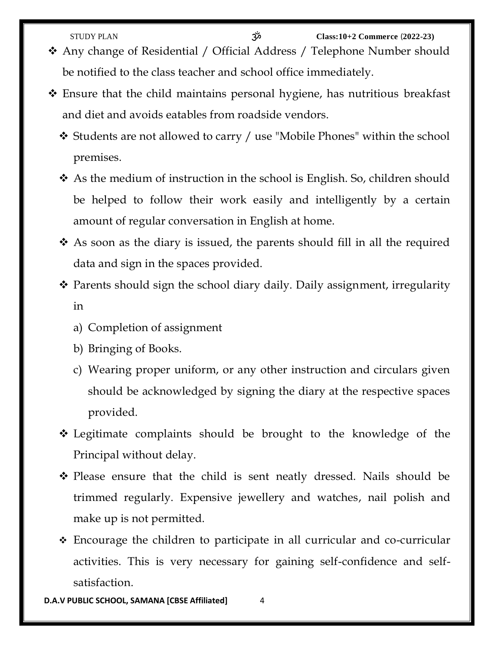- Any change of Residential / Official Address / Telephone Number should be notified to the class teacher and school office immediately.
- Ensure that the child maintains personal hygiene, has nutritious breakfast and diet and avoids eatables from roadside vendors.
	- Students are not allowed to carry / use "Mobile Phones" within the school premises.
	- As the medium of instruction in the school is English. So, children should be helped to follow their work easily and intelligently by a certain amount of regular conversation in English at home.
	- As soon as the diary is issued, the parents should fill in all the required data and sign in the spaces provided.
	- \* Parents should sign the school diary daily. Daily assignment, irregularity in
		- a) Completion of assignment
		- b) Bringing of Books.
		- c) Wearing proper uniform, or any other instruction and circulars given should be acknowledged by signing the diary at the respective spaces provided.
	- Legitimate complaints should be brought to the knowledge of the Principal without delay.
	- Please ensure that the child is sent neatly dressed. Nails should be trimmed regularly. Expensive jewellery and watches, nail polish and make up is not permitted.
	- Encourage the children to participate in all curricular and co-curricular activities. This is very necessary for gaining self-confidence and selfsatisfaction.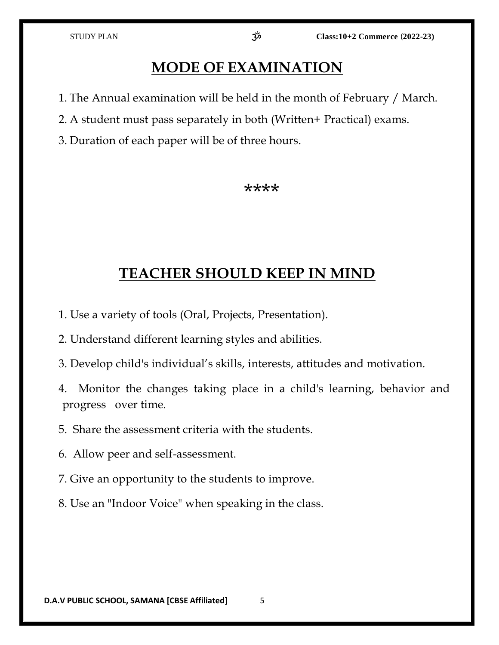## **MODE OF EXAMINATION**

- 1. The Annual examination will be held in the month of February / March.
- 2. A student must pass separately in both (Written+ Practical) exams.
- 3. Duration of each paper will be of three hours.

#### \*\*\*\*

## **TEACHER SHOULD KEEP IN MIND**

- 1. Use a variety of tools (Oral, Projects, Presentation).
- 2. Understand different learning styles and abilities.
- 3. Develop child's individual's skills, interests, attitudes and motivation.
- 4. Monitor the changes taking place in a child's learning, behavior and progress over time.
- 5. Share the assessment criteria with the students.
- 6. Allow peer and self-assessment.
- 7. Give an opportunity to the students to improve.
- 8. Use an "Indoor Voice" when speaking in the class.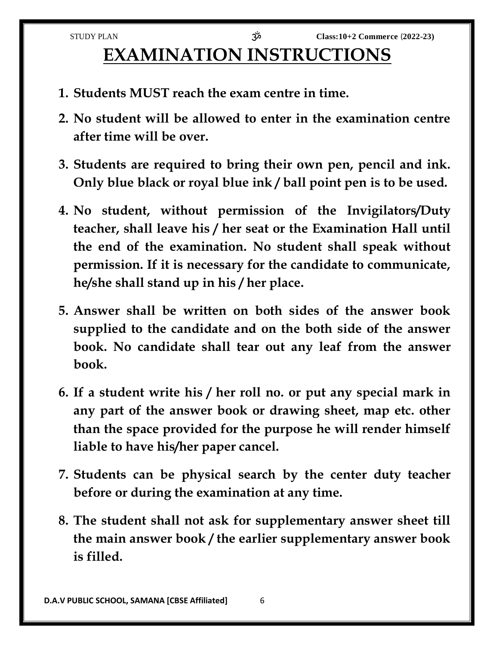## **EXAMINATION INSTRUCTIONS**

- **1. Students MUST reach the exam centre in time.**
- **2. No student will be allowed to enter in the examination centre after time will be over.**
- **3. Students are required to bring their own pen, pencil and ink. Only blue black or royal blue ink / ball point pen is to be used.**
- **4. No student, without permission of the Invigilators/Duty teacher, shall leave his / her seat or the Examination Hall until the end of the examination. No student shall speak without permission. If it is necessary for the candidate to communicate, he/she shall stand up in his / her place.**
- **5. Answer shall be written on both sides of the answer book supplied to the candidate and on the both side of the answer book. No candidate shall tear out any leaf from the answer book.**
- **6. If a student write his / her roll no. or put any special mark in any part of the answer book or drawing sheet, map etc. other than the space provided for the purpose he will render himself liable to have his/her paper cancel.**
- **7. Students can be physical search by the center duty teacher before or during the examination at any time.**
- **8. The student shall not ask for supplementary answer sheet till the main answer book / the earlier supplementary answer book is filled.**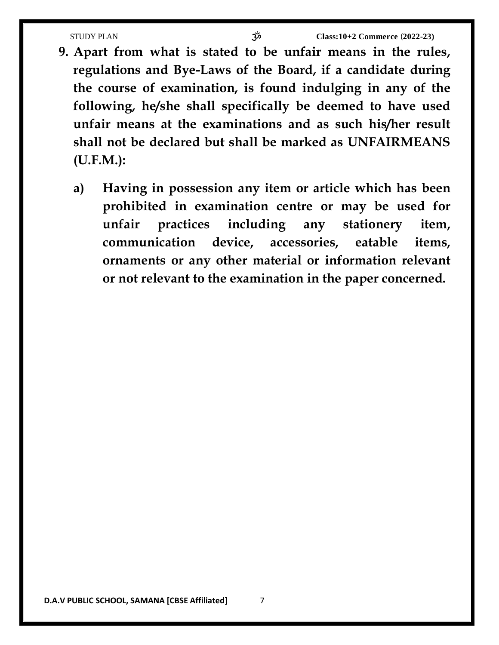- **9. Apart from what is stated to be unfair means in the rules, regulations and Bye-Laws of the Board, if a candidate during the course of examination, is found indulging in any of the following, he/she shall specifically be deemed to have used unfair means at the examinations and as such his/her result shall not be declared but shall be marked as UNFAIRMEANS (U.F.M.):**
	- **a) Having in possession any item or article which has been prohibited in examination centre or may be used for unfair practices including any stationery item, communication device, accessories, eatable items, ornaments or any other material or information relevant or not relevant to the examination in the paper concerned.**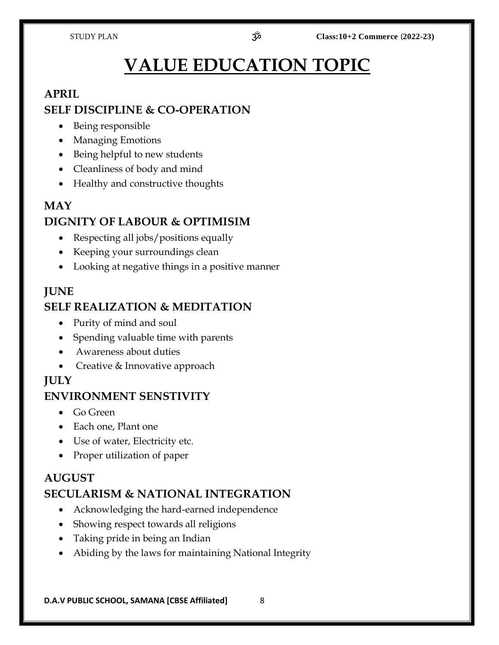## **VALUE EDUCATION TOPIC**

#### **APRIL**

#### **SELF DISCIPLINE & CO-OPERATION**

- Being responsible
- Managing Emotions
- Being helpful to new students
- Cleanliness of body and mind
- Healthy and constructive thoughts

#### **MAY DIGNITY OF LABOUR & OPTIMISIM**

- Respecting all jobs/positions equally
- Keeping your surroundings clean
- Looking at negative things in a positive manner

#### **JUNE**

#### **SELF REALIZATION & MEDITATION**

- Purity of mind and soul
- Spending valuable time with parents
- Awareness about duties
- Creative & Innovative approach

#### **JULY**

#### **ENVIRONMENT SENSTIVITY**

- Go Green
- Each one, Plant one
- Use of water, Electricity etc.
- Proper utilization of paper

#### **AUGUST SECULARISM & NATIONAL INTEGRATION**

- Acknowledging the hard-earned independence
- Showing respect towards all religions
- Taking pride in being an Indian
- Abiding by the laws for maintaining National Integrity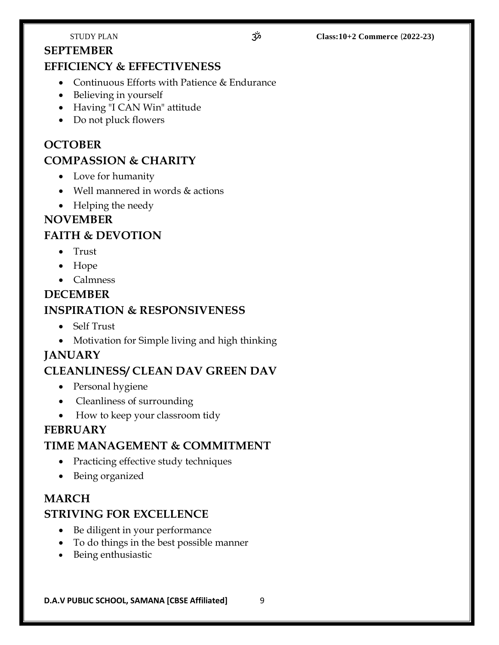#### **SEPTEMBER**

#### **EFFICIENCY & EFFECTIVENESS**

- Continuous Efforts with Patience & Endurance
- Believing in yourself
- Having "I CAN Win" attitude
- Do not pluck flowers

### **OCTOBER COMPASSION & CHARITY**

- Love for humanity
- Well mannered in words & actions
- Helping the needy

#### **NOVEMBER**

#### **FAITH & DEVOTION**

- Trust
- Hope
- Calmness

## **DECEMBER INSPIRATION & RESPONSIVENESS**

- Self Trust
- Motivation for Simple living and high thinking

#### **JANUARY**

#### **CLEANLINESS/ CLEAN DAV GREEN DAV**

- Personal hygiene
- Cleanliness of surrounding
- How to keep your classroom tidy

#### **FEBRUARY**

#### **TIME MANAGEMENT & COMMITMENT**

- Practicing effective study techniques
- Being organized

#### **MARCH**

#### **STRIVING FOR EXCELLENCE**

- Be diligent in your performance
- To do things in the best possible manner
- Being enthusiastic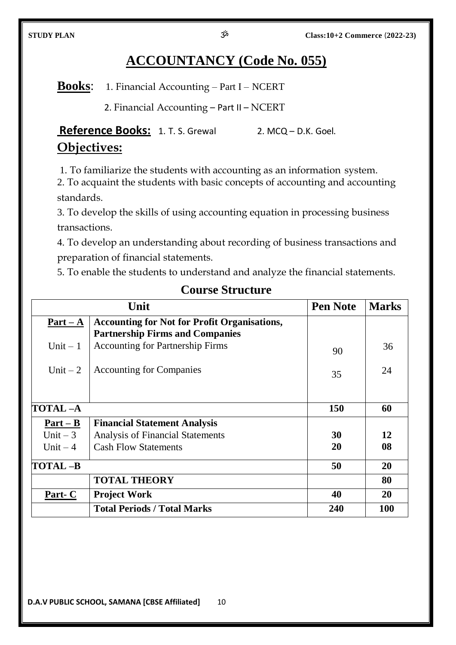## **ACCOUNTANCY (Code No. 055)**

**Books**: 1. Financial Accounting – Part I – NCERT

2. Financial Accounting – Part II – NCERT

Reference Books: 1. T. S. Grewal 2. MCQ – D.K. Goel. **Objectives:**

1. To familiarize the students with accounting as an information system.

2. To acquaint the students with basic concepts of accounting and accounting standards.

3. To develop the skills of using accounting equation in processing business transactions.

4. To develop an understanding about recording of business transactions and preparation of financial statements.

5. To enable the students to understand and analyze the financial statements.

|            | Unit                                                | <b>Pen Note</b> | <b>Marks</b> |
|------------|-----------------------------------------------------|-----------------|--------------|
| $Part - A$ | <b>Accounting for Not for Profit Organisations,</b> |                 |              |
|            | <b>Partnership Firms and Companies</b>              |                 |              |
| Unit $-1$  | <b>Accounting for Partnership Firms</b>             | 90              | 36           |
| Unit $-2$  | <b>Accounting for Companies</b>                     | 35              | 24           |
|            |                                                     |                 |              |
| TOTAL-A    |                                                     | 150             | 60           |
| $Part - B$ | <b>Financial Statement Analysis</b>                 |                 |              |
| Unit $-3$  | <b>Analysis of Financial Statements</b>             | 30              | 12           |
| Unit $-4$  | <b>Cash Flow Statements</b>                         | 20              | 08           |
| TOTAL-B    |                                                     | 50              | 20           |
|            | <b>TOTAL THEORY</b>                                 |                 | 80           |
| Part- $C$  | <b>Project Work</b>                                 | 40              | <b>20</b>    |
|            | <b>Total Periods / Total Marks</b>                  | 240             | 100          |

#### **Course Structure**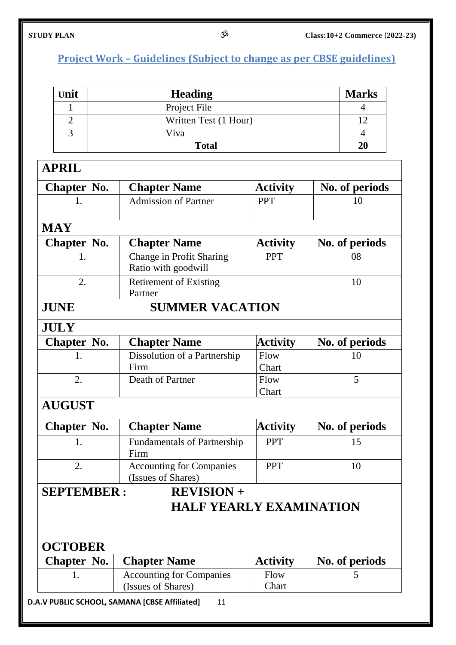## **Project Work – Guidelines (Subject to change as per CBSE guidelines)**

| Unit | <b>Heading</b>        | <b>Marks</b> |
|------|-----------------------|--------------|
|      | Project File          |              |
|      | Written Test (1 Hour) |              |
|      | Viva                  |              |
|      | <b>Total</b>          | 20           |

## **APRIL**

| Chapter No. | <b>Chapter Name</b>         | <b>Activity</b> | No. of periods |
|-------------|-----------------------------|-----------------|----------------|
|             | <b>Admission of Partner</b> | <b>PPT</b>      |                |
| <b>MAY</b>  |                             |                 |                |

| 1711 X X           |                               |                 |                |
|--------------------|-------------------------------|-----------------|----------------|
| <b>Chapter No.</b> | <b>Chapter Name</b>           | <b>Activity</b> | No. of periods |
|                    | Change in Profit Sharing      | <b>PPT</b>      | 08             |
|                    | Ratio with goodwill           |                 |                |
|                    | <b>Retirement of Existing</b> |                 |                |
|                    | Partner                       |                 |                |
| JUNE               | <b>SUMMER VACATION</b>        |                 |                |

#### **JULY**

| <b>Chapter No.</b> | <b>Chapter Name</b>          | <b>Activity</b> | No. of periods |
|--------------------|------------------------------|-----------------|----------------|
|                    | Dissolution of a Partnership | Flow            |                |
|                    | Firm                         | Chart           |                |
|                    | Death of Partner             | Flow            |                |
|                    |                              | Chart           |                |

## **AUGUST**

| Chapter No. | <b>Chapter Name</b>                | <b>Activity</b> | No. of periods |
|-------------|------------------------------------|-----------------|----------------|
|             | <b>Fundamentals of Partnership</b> | <b>PPT</b>      |                |
|             | Firm                               |                 |                |
|             | <b>Accounting for Companies</b>    | <b>PPT</b>      |                |
|             | (Issues of Shares)                 |                 |                |
|             |                                    |                 |                |

## **SEPTEMBER : REVISION +**

## **HALF YEARLY EXAMINATION**

### **OCTOBER**

| Chapter No. | <b>Chapter Name</b>             | <b>Activity</b> | No. of periods |
|-------------|---------------------------------|-----------------|----------------|
|             | <b>Accounting for Companies</b> | Flow            |                |
|             | (Issues of Shares)              | Chart           |                |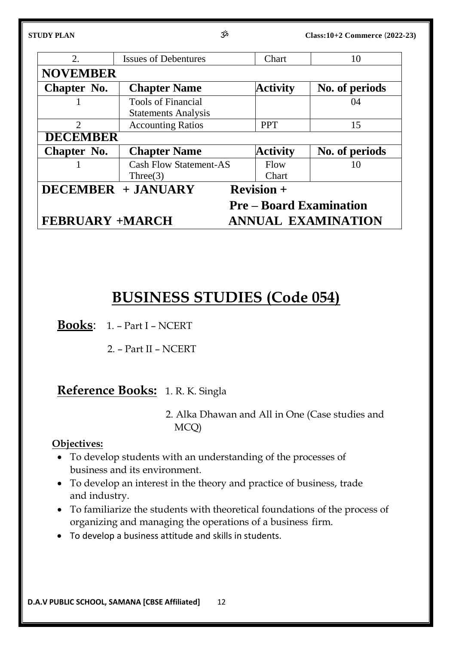| STUDY PLAN                  | مرّخ                                                    |               | Class:10+2 Commerce (2022-23)  |
|-----------------------------|---------------------------------------------------------|---------------|--------------------------------|
| 2.                          | <b>Issues of Debentures</b>                             | Chart         | 10                             |
| <b>NOVEMBER</b>             |                                                         |               |                                |
| Chapter No.                 | <b>Chapter Name</b>                                     | Activity      | No. of periods                 |
|                             | <b>Tools of Financial</b><br><b>Statements Analysis</b> |               | 04                             |
| $\mathcal{D}_{\mathcal{L}}$ | <b>Accounting Ratios</b>                                | <b>PPT</b>    | 15                             |
| <b>DECEMBER</b>             |                                                         |               |                                |
| Chapter No.                 | <b>Chapter Name</b>                                     | Activity      | No. of periods                 |
|                             | <b>Cash Flow Statement-AS</b><br>Three $(3)$            | Flow<br>Chart | 10                             |
|                             | <b>DECEMBER + JANUARY</b>                               | $Reviewion +$ |                                |
|                             |                                                         |               | <b>Pre</b> – Board Examination |
| <b>FEBRUARY +MARCH</b>      |                                                         |               | <b>ANNUAL EXAMINATION</b>      |

## **BUSINESS STUDIES (Code 054)**

**Books**: 1. – Part I – NCERT

2. – Part II – NCERT

## **Reference Books:** 1. R. K. Singla

2. Alka Dhawan and All in One (Case studies and MCQ)

#### **Objectives:**

- To develop students with an understanding of the processes of business and its environment.
- To develop an interest in the theory and practice of business, trade and industry.
- To familiarize the students with theoretical foundations of the process of organizing and managing the operations of a business firm.
- To develop a business attitude and skills in students.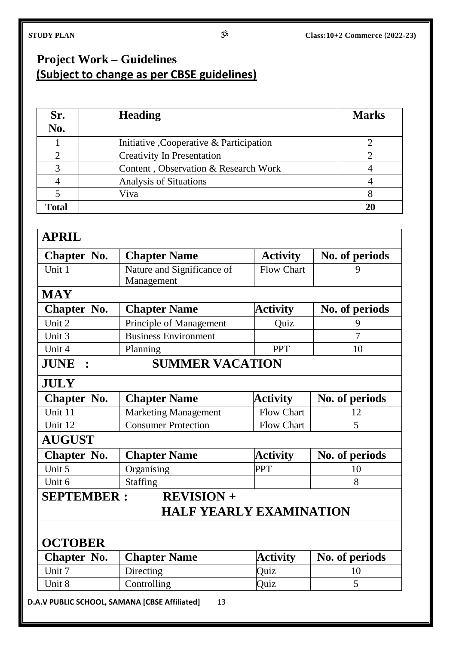## **Project Work – Guidelines (Subject to change as per CBSE guidelines)**

| Sr.<br>No.   | <b>Heading</b>                           | <b>Marks</b> |
|--------------|------------------------------------------|--------------|
|              | Initiative , Cooperative & Participation |              |
|              | <b>Creativity In Presentation</b>        |              |
|              | Content, Observation & Research Work     |              |
|              | <b>Analysis of Situations</b>            |              |
|              | Viva                                     |              |
| <b>Total</b> |                                          | 21           |

#### **APRIL**

| Chapter No.        | <b>Chapter Name</b>         | <b>Activity</b>   | No. of periods |
|--------------------|-----------------------------|-------------------|----------------|
| Unit 1             | Nature and Significance of  | <b>Flow Chart</b> | 9              |
|                    | Management                  |                   |                |
| <b>MAY</b>         |                             |                   |                |
| <b>Chapter No.</b> | <b>Chapter Name</b>         | <b>Activity</b>   | No. of periods |
| Unit 2             | Principle of Management     | Quiz              | 9              |
| Unit 3             | <b>Business Environment</b> |                   | 7              |
| Unit 4             | Planning                    | <b>PPT</b>        | 10             |
| JUNE :             | <b>SUMMER VACATION</b>      |                   |                |
| <b>JULY</b>        |                             |                   |                |
| Chapter No.        | <b>Chapter Name</b>         | <b>Activity</b>   | No. of periods |
|                    |                             |                   |                |

| Chapter No.   | <b>Chapter Name</b>         | <b>Activity</b>   | No. of periods |
|---------------|-----------------------------|-------------------|----------------|
| Unit 11       | <b>Marketing Management</b> | <b>Flow Chart</b> |                |
| Unit 12       | <b>Consumer Protection</b>  | <b>Flow Chart</b> |                |
| <b>AUGUST</b> |                             |                   |                |

| Chapter No. | <b>Chapter Name</b> | <b>Activity</b> | No. of periods |
|-------------|---------------------|-----------------|----------------|
| Unit 5      | Organising          | <b>PPT</b>      |                |
| Unit 6      | <b>Staffing</b>     |                 |                |

### **SEPTEMBER : REVISION +**

## **HALF YEARLY EXAMINATION**

### **OCTOBER**

| <b>Chapter No.</b> | <b>Chapter Name</b> | <b>Activity</b> | No. of periods |
|--------------------|---------------------|-----------------|----------------|
| Unit 7             | Directing           | Ouiz            |                |
| Unit 8             | Controlling         | Ouiz            |                |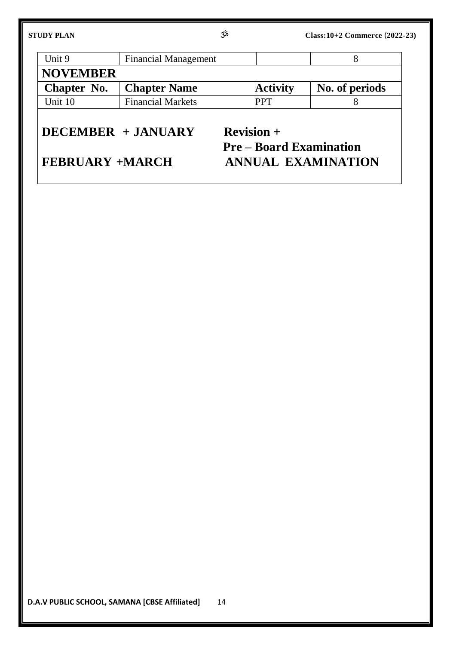| <b>STUDY PLAN</b> | مرّخ                        |                 | $Class: 10+2$ Commerce $(2022-23)$ |
|-------------------|-----------------------------|-----------------|------------------------------------|
| Unit 9            | <b>Financial Management</b> |                 |                                    |
| <b>NOVEMBER</b>   |                             |                 |                                    |
| Chapter No.       | <b>Chapter Name</b>         | <b>Activity</b> | No. of periods                     |
| Unit 10           | <b>Financial Markets</b>    |                 |                                    |

## **DECEMBER + JANUARY Revision +**

## **Pre – Board Examination FEBRUARY +MARCH ANNUAL EXAMINATION**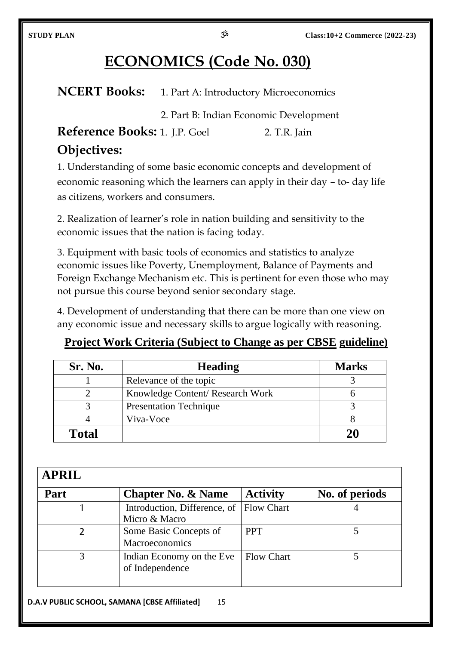## **ECONOMICS (Code No. 030)**

**NCERT Books:** 1. Part A: Introductory Microeconomics

2. Part B: Indian Economic Development

**Reference Books:** 1. J.P. Goel 2. T.R. Jain **Objectives:**

1. Understanding of some basic economic concepts and development of economic reasoning which the learners can apply in their day – to- day life as citizens, workers and consumers.

2. Realization of learner's role in nation building and sensitivity to the economic issues that the nation is facing today.

3. Equipment with basic tools of economics and statistics to analyze economic issues like Poverty, Unemployment, Balance of Payments and Foreign Exchange Mechanism etc. This is pertinent for even those who may not pursue this course beyond senior secondary stage.

4. Development of understanding that there can be more than one view on any economic issue and necessary skills to argue logically with reasoning.

### **Project Work Criteria (Subject to Change as per CBSE guideline)**

| <b>Sr. No.</b> | <b>Heading</b>                   | <b>Marks</b> |
|----------------|----------------------------------|--------------|
|                | Relevance of the topic           |              |
|                | Knowledge Content/ Research Work |              |
|                | <b>Presentation Technique</b>    |              |
|                | Viva-Voce                        |              |
| <b>Total</b>   |                                  |              |

### **APRIL**

| Part | <b>Chapter No. &amp; Name</b>                 | <b>Activity</b>   | No. of periods |
|------|-----------------------------------------------|-------------------|----------------|
|      | Introduction, Difference, of<br>Micro & Macro | <b>Flow Chart</b> |                |
|      | Some Basic Concepts of<br>Macroeconomics      | <b>PPT</b>        |                |
|      | Indian Economy on the Eve<br>of Independence  | <b>Flow Chart</b> |                |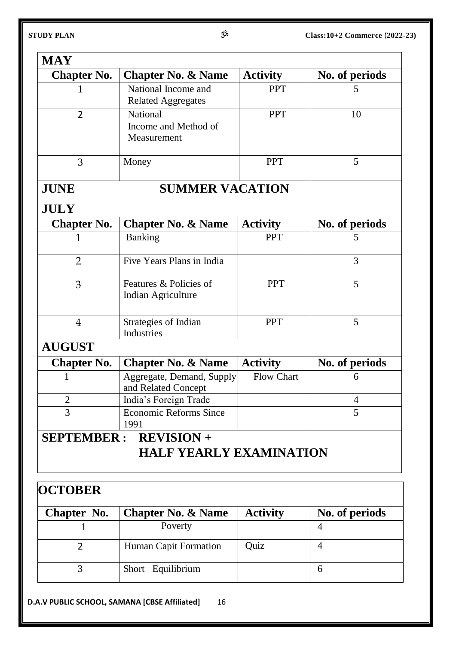| <b>Chapter No.</b> | <b>Chapter No. &amp; Name</b>                    | <b>Activity</b>   | No. of periods |
|--------------------|--------------------------------------------------|-------------------|----------------|
|                    | National Income and                              | <b>PPT</b>        | 5              |
|                    | <b>Related Aggregates</b>                        |                   |                |
| $\overline{2}$     | <b>National</b>                                  | <b>PPT</b>        | 10             |
|                    | Income and Method of                             |                   |                |
|                    | Measurement                                      |                   |                |
| 3                  | Money                                            | <b>PPT</b>        | 5              |
| <b>JUNE</b>        | <b>SUMMER VACATION</b>                           |                   |                |
| <b>JULY</b>        |                                                  |                   |                |
| <b>Chapter No.</b> | <b>Chapter No. &amp; Name</b>                    | <b>Activity</b>   | No. of periods |
| 1                  | <b>Banking</b>                                   | <b>PPT</b>        | 5              |
| $\overline{2}$     | Five Years Plans in India                        |                   | 3              |
| 3                  | Features & Policies of<br>Indian Agriculture     | <b>PPT</b>        | 5              |
|                    |                                                  |                   |                |
| $\overline{4}$     | Strategies of Indian<br>Industries               | <b>PPT</b>        | 5              |
| <b>AUGUST</b>      |                                                  |                   |                |
| <b>Chapter No.</b> | <b>Chapter No. &amp; Name</b>                    | <b>Activity</b>   | No. of periods |
| 1                  | Aggregate, Demand, Supply<br>and Related Concept | <b>Flow Chart</b> | 6              |
| $\overline{2}$     | India's Foreign Trade                            |                   | 4              |
| $\overline{3}$     | <b>Economic Reforms Since</b><br>1991            |                   | 5              |

## **OCTOBER**

| Chapter No. | <b>Chapter No. &amp; Name</b> | <b>Activity</b> | No. of periods |
|-------------|-------------------------------|-----------------|----------------|
|             | Poverty                       |                 |                |
|             | <b>Human Capit Formation</b>  | Ouiz            |                |
|             | Short Equilibrium             |                 |                |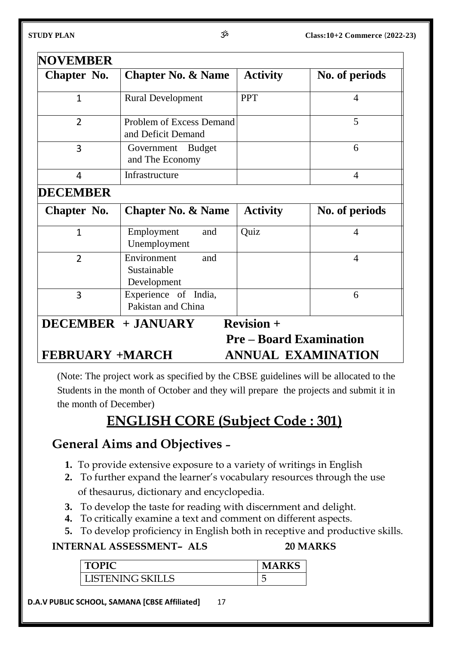| Chapter No. | <b>Chapter No. &amp; Name</b>                  | <b>Activity</b> | No. of periods |
|-------------|------------------------------------------------|-----------------|----------------|
|             | <b>Rural Development</b>                       | <b>PPT</b>      |                |
| 2           | Problem of Excess Demand<br>and Deficit Demand |                 | 5              |
| 3           | <b>Budget</b><br>Government<br>and The Economy |                 | 6              |
| 4           | Infrastructure                                 |                 | 4              |

#### **DECEMBER**

| Chapter No.             | <b>Chapter No. &amp; Name</b>                    | <b>Activity</b>                                 | No. of periods |
|-------------------------|--------------------------------------------------|-------------------------------------------------|----------------|
| 1                       | Employment<br>and<br>Unemployment                | Quiz                                            | 4              |
| 2                       | Environment<br>and<br>Sustainable<br>Development |                                                 | 4              |
| 3                       | Experience of India,<br>Pakistan and China       |                                                 | 6              |
| DECEMBER + JANUARY      |                                                  | $Reviewion +$<br><b>Pre – Board Examination</b> |                |
| <b>EEDDILADV</b> ALADAH |                                                  | ANNILLAT EVAMINATION                            |                |

## **FEBRUARY +MARCH ANNUAL EXAMINATION**

(Note: The project work as specified by the CBSE guidelines will be allocated to the Students in the month of October and they will prepare the projects and submit it in the month of December)

## **ENGLISH CORE (Subject Code : 301)**

## **General Aims and Objectives –**

- **1.** To provide extensive exposure to a variety of writings in English
- **2.** To further expand the learner's vocabulary resources through the use of thesaurus, dictionary and encyclopedia.
- **3.** To develop the taste for reading with discernment and delight.
- **4.** To critically examine a text and comment on different aspects.
- **5.** To develop proficiency in English both in receptive and productive skills.

#### **INTERNAL ASSESSMENT– ALS 20 MARKS**

| <b>TOPIC</b>     | <b>MARKS</b> |
|------------------|--------------|
| LISTENING SKILLS | ∽<br>ٮ       |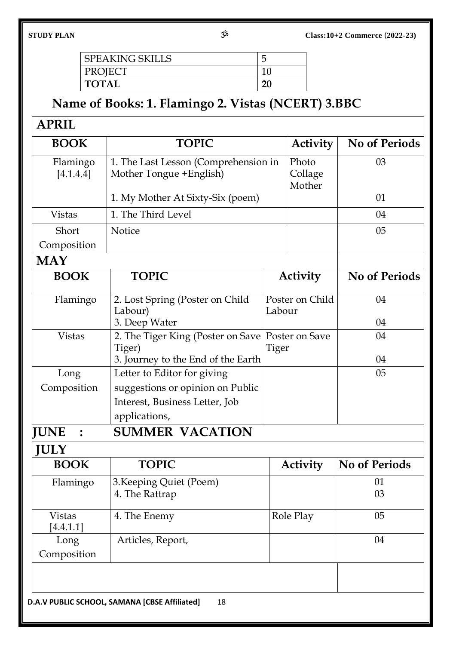| <b>SPEAKING SKILLS</b> |  |
|------------------------|--|
| PROJECT                |  |
| <b>TOTAL</b>           |  |

## **Name of Books: 1. Flamingo 2. Vistas (NCERT) 3.BBC**

| D |
|---|
|---|

| Flamingo<br>[4.1.4.4]      |                                                                                                |                           |                 |                      |
|----------------------------|------------------------------------------------------------------------------------------------|---------------------------|-----------------|----------------------|
|                            | 1. The Last Lesson (Comprehension in<br>Photo<br>Mother Tongue + English)<br>Collage<br>Mother |                           | 03              |                      |
|                            | 1. My Mother At Sixty-Six (poem)                                                               |                           |                 | 01                   |
| <b>Vistas</b>              | 1. The Third Level                                                                             |                           | 04              |                      |
| Short                      | <b>Notice</b>                                                                                  |                           | 05              |                      |
| Composition                |                                                                                                |                           |                 |                      |
| <b>MAY</b>                 |                                                                                                |                           |                 |                      |
| <b>BOOK</b>                | <b>TOPIC</b>                                                                                   |                           | <b>Activity</b> | <b>No of Periods</b> |
| Flamingo                   | 2. Lost Spring (Poster on Child<br>Labour)                                                     | Poster on Child<br>Labour |                 | 04                   |
|                            | 3. Deep Water                                                                                  |                           |                 | 04                   |
| <b>Vistas</b>              | 2. The Tiger King (Poster on Save<br>Tiger)                                                    | Poster on Save<br>Tiger   |                 | 04                   |
|                            | 3. Journey to the End of the Earth                                                             |                           |                 | 04                   |
| Long                       | Letter to Editor for giving                                                                    |                           |                 | 05                   |
| Composition                | suggestions or opinion on Public<br>Interest, Business Letter, Job                             |                           |                 |                      |
|                            | applications,                                                                                  |                           |                 |                      |
| <b>IUNE</b>                | <b>SUMMER VACATION</b>                                                                         |                           |                 |                      |
| ULY                        |                                                                                                |                           |                 |                      |
| <b>BOOK</b>                | <b>TOPIC</b>                                                                                   |                           |                 | <b>No of Periods</b> |
|                            |                                                                                                |                           | <b>Activity</b> |                      |
| Flamingo                   | 3. Keeping Quiet (Poem)                                                                        |                           |                 | 01                   |
|                            | 4. The Rattrap                                                                                 |                           |                 | 03                   |
| <b>Vistas</b><br>[4.4.1.1] | 4. The Enemy                                                                                   |                           | Role Play       | 05                   |
| Long                       | Articles, Report,                                                                              |                           |                 | 04                   |
| Composition                |                                                                                                |                           |                 |                      |
|                            |                                                                                                |                           |                 |                      |
|                            |                                                                                                |                           |                 |                      |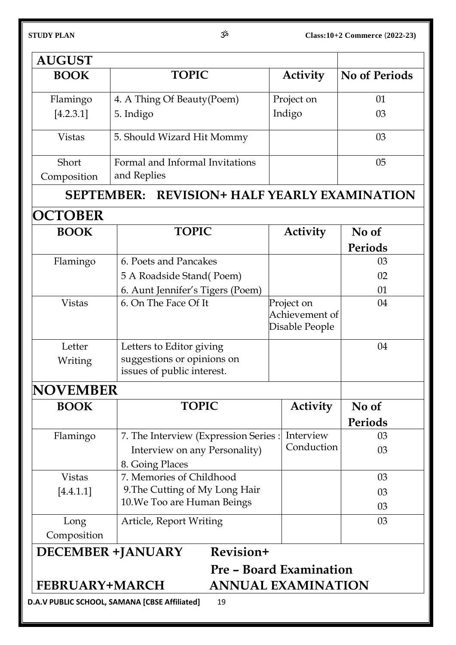| <b>AUGUST</b>       | <b>TOPIC</b>                                                           |    |                           |                      |  |
|---------------------|------------------------------------------------------------------------|----|---------------------------|----------------------|--|
| <b>BOOK</b>         |                                                                        |    | <b>Activity</b>           | <b>No of Periods</b> |  |
| Flamingo            | 4. A Thing Of Beauty (Poem)                                            |    | Project on                | 01                   |  |
| [4.2.3.1]           | Indigo<br>5. Indigo                                                    |    |                           | 03                   |  |
| <b>Vistas</b>       | 5. Should Wizard Hit Mommy                                             |    |                           |                      |  |
| Short               | Formal and Informal Invitations                                        |    |                           |                      |  |
| Composition         | and Replies                                                            |    |                           |                      |  |
| <b>SEPTEMBER:</b>   | <b>REVISION+ HALF YEARLY EXAMINATION</b>                               |    |                           |                      |  |
| OCTOBER             |                                                                        |    |                           |                      |  |
| <b>BOOK</b>         | <b>TOPIC</b>                                                           |    | <b>Activity</b>           | No of                |  |
|                     |                                                                        |    |                           | Periods              |  |
| Flamingo            | 6. Poets and Pancakes                                                  |    |                           | 03                   |  |
|                     | 5 A Roadside Stand(Poem)                                               |    |                           | 02                   |  |
|                     | 6. Aunt Jennifer's Tigers (Poem)                                       |    |                           | 01                   |  |
| <b>Vistas</b>       | 6. On The Face Of It<br>Project on<br>Achievement of<br>Disable People |    | 04                        |                      |  |
| Letter              | Letters to Editor giving                                               |    |                           | 04                   |  |
| Writing             | suggestions or opinions on<br>issues of public interest.               |    |                           |                      |  |
| NOVEMBER            |                                                                        |    |                           |                      |  |
| <b>BOOK</b>         | <b>TOPIC</b>                                                           |    | <b>Activity</b>           | No of                |  |
|                     |                                                                        |    |                           | Periods              |  |
| Flamingo            | 7. The Interview (Expression Series:                                   |    | Interview                 | 03                   |  |
|                     | Interview on any Personality)<br>8. Going Places                       |    | Conduction                | 03                   |  |
| <b>Vistas</b>       | 7. Memories of Childhood                                               |    |                           | 03                   |  |
| [4.4.1.1]           | 9. The Cutting of My Long Hair                                         |    |                           | 03                   |  |
|                     | 10. We Too are Human Beings                                            |    |                           | 03                   |  |
| Long<br>Composition | Article, Report Writing                                                | 03 |                           |                      |  |
|                     | Revision+<br><b>DECEMBER +JANUARY</b>                                  |    |                           |                      |  |
|                     | <b>Pre - Board Examination</b>                                         |    |                           |                      |  |
|                     | <b>FEBRUARY+MARCH</b>                                                  |    | <b>ANNUAL EXAMINATION</b> |                      |  |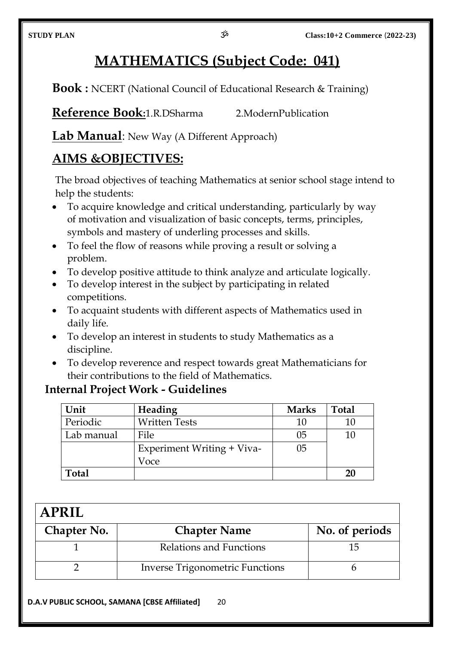## **MATHEMATICS (Subject Code: 041)**

**Book :** NCERT (National Council of Educational Research & Training)

**Reference Book:**1.R.DSharma 2.ModernPublication

**Lab Manual**: New Way (A Different Approach)

## **AIMS &OBJECTIVES:**

The broad objectives of teaching Mathematics at senior school stage intend to help the students:

- To acquire knowledge and critical understanding, particularly by way of motivation and visualization of basic concepts, terms, principles, symbols and mastery of underling processes and skills.
- To feel the flow of reasons while proving a result or solving a problem.
- To develop positive attitude to think analyze and articulate logically.
- To develop interest in the subject by participating in related competitions.
- To acquaint students with different aspects of Mathematics used in daily life.
- To develop an interest in students to study Mathematics as a discipline.
- To develop reverence and respect towards great Mathematicians for their contributions to the field of Mathematics.

## **Internal Project Work - Guidelines**

| Unit         | Heading                    | <b>Marks</b> | <b>Total</b> |
|--------------|----------------------------|--------------|--------------|
| Periodic     | <b>Written Tests</b>       | 10           |              |
| Lab manual   | File                       | 05           | 10           |
|              | Experiment Writing + Viva- | 05           |              |
|              | Voce                       |              |              |
| <b>Total</b> |                            |              |              |

| <b>APRIL</b> |                                        |                |  |  |
|--------------|----------------------------------------|----------------|--|--|
| Chapter No.  | <b>Chapter Name</b>                    | No. of periods |  |  |
|              | Relations and Functions                |                |  |  |
|              | <b>Inverse Trigonometric Functions</b> |                |  |  |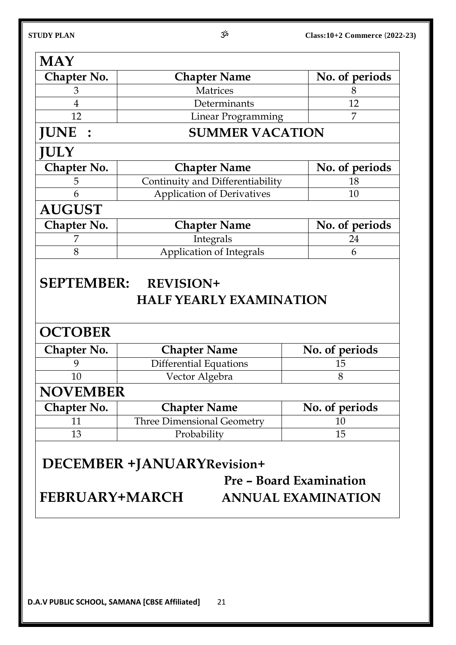| <b>MAY</b>         |                                                    |                |  |
|--------------------|----------------------------------------------------|----------------|--|
| <b>Chapter No.</b> | <b>Chapter Name</b>                                | No. of periods |  |
| 3                  | <b>Matrices</b><br>8                               |                |  |
| $\overline{4}$     | Determinants<br>12                                 |                |  |
| 12                 | 7<br>Linear Programming                            |                |  |
| <b>JUNE</b>        | <b>SUMMER VACATION</b>                             |                |  |
| <b>JULY</b>        |                                                    |                |  |
| Chapter No.        | <b>Chapter Name</b>                                | No. of periods |  |
| 5                  | Continuity and Differentiability                   | 18             |  |
| 6                  | <b>Application of Derivatives</b>                  | 10             |  |
| <b>AUGUST</b>      |                                                    |                |  |
| <b>Chapter No.</b> | <b>Chapter Name</b>                                | No. of periods |  |
|                    |                                                    |                |  |
| 7                  | Integrals                                          | 24             |  |
| 8                  | <b>Application of Integrals</b>                    | 6              |  |
| <b>SEPTEMBER:</b>  | <b>REVISION+</b><br><b>HALF YEARLY EXAMINATION</b> |                |  |
| <b>OCTOBER</b>     |                                                    |                |  |
| Chapter No.        | <b>Chapter Name</b>                                | No. of periods |  |
| 9                  | <b>Differential Equations</b>                      | 15             |  |
| 10                 | Vector Algebra                                     | 8              |  |
| <b>NOVEMBER</b>    |                                                    |                |  |
| Chapter No.        | <b>Chapter Name</b>                                | No. of periods |  |
| 11                 | <b>Three Dimensional Geometry</b>                  | 10             |  |

## **DECEMBER +JANUARYRevision+**

**Pre – Board Examination FEBRUARY+MARCH ANNUAL EXAMINATION**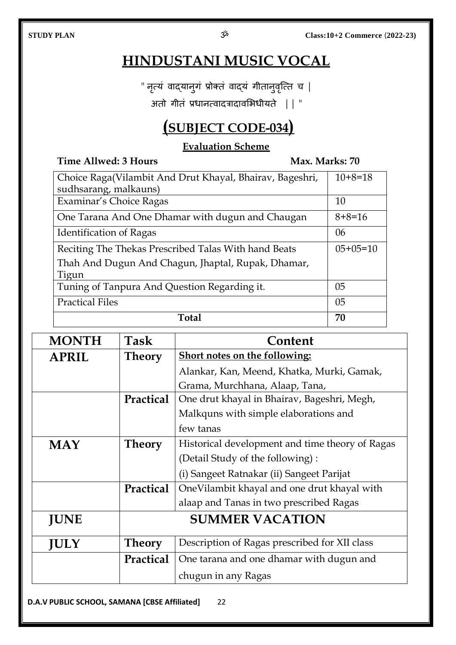10+8=18

## **HINDUSTANI MUSIC VOCAL**

" नृत्यं वाद्यान्गं प्रोक्तं वाद्यं गीतानुवृत्ति च |

अतो गीतं प्रधानत्वादत्रादावभिधीयते || "

## **(SUBJECT CODE-034)**

#### **Evaluation Scheme**

### **Time Allwed: 3 Hours Max. Marks: 70** Choice Raga(Vilambit And Drut Khayal, Bhairav, Bageshri, sudhsarang, malkauns) Examinar's Choice Ragas 10

| Total                                                |                |
|------------------------------------------------------|----------------|
| <b>Practical Files</b>                               | 0 <sub>5</sub> |
| Tuning of Tanpura And Question Regarding it.         | 05             |
| Tigun                                                |                |
| Thah And Dugun And Chagun, Jhaptal, Rupak, Dhamar,   |                |
| Reciting The Thekas Prescribed Talas With hand Beats | $05+05=10$     |
| <b>Identification of Ragas</b>                       | 06             |
| One Tarana And One Dhamar with dugun and Chaugan     | $8+8=16$       |
|                                                      |                |

| <b>MONTH</b> | <b>Task</b>      | Content                                         |  |  |
|--------------|------------------|-------------------------------------------------|--|--|
| <b>APRIL</b> | <b>Theory</b>    | <b>Short notes on the following:</b>            |  |  |
|              |                  | Alankar, Kan, Meend, Khatka, Murki, Gamak,      |  |  |
|              |                  | Grama, Murchhana, Alaap, Tana,                  |  |  |
|              | <b>Practical</b> | One drut khayal in Bhairav, Bageshri, Megh,     |  |  |
|              |                  | Malkquns with simple elaborations and           |  |  |
|              |                  | few tanas                                       |  |  |
| <b>MAY</b>   | <b>Theory</b>    | Historical development and time theory of Ragas |  |  |
|              |                  | (Detail Study of the following):                |  |  |
|              |                  | (i) Sangeet Ratnakar (ii) Sangeet Parijat       |  |  |
|              | Practical        | OneVilambit khayal and one drut khayal with     |  |  |
|              |                  | alaap and Tanas in two prescribed Ragas         |  |  |
| <b>JUNE</b>  |                  | <b>SUMMER VACATION</b>                          |  |  |
| <b>JULY</b>  | <b>Theory</b>    | Description of Ragas prescribed for XII class   |  |  |
|              | Practical        | One tarana and one dhamar with dugun and        |  |  |
|              |                  | chugun in any Ragas                             |  |  |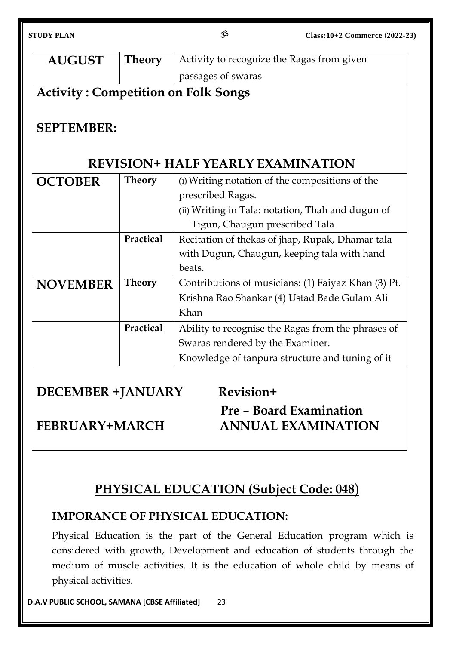| <b>AUGUST</b><br><b>Theory</b><br>Activity to recognize the Ragas from given<br>passages of swaras<br><b>Activity: Competition on Folk Songs</b><br><b>SEPTEMBER:</b><br><b>REVISION+ HALF YEARLY EXAMINATION</b><br><b>OCTOBER</b><br><b>Theory</b><br>(i) Writing notation of the compositions of the<br>prescribed Ragas.<br>(ii) Writing in Tala: notation, Thah and dugun of<br>Tigun, Chaugun prescribed Tala |                                                     |  |  |  |  |  |
|---------------------------------------------------------------------------------------------------------------------------------------------------------------------------------------------------------------------------------------------------------------------------------------------------------------------------------------------------------------------------------------------------------------------|-----------------------------------------------------|--|--|--|--|--|
|                                                                                                                                                                                                                                                                                                                                                                                                                     |                                                     |  |  |  |  |  |
|                                                                                                                                                                                                                                                                                                                                                                                                                     |                                                     |  |  |  |  |  |
|                                                                                                                                                                                                                                                                                                                                                                                                                     |                                                     |  |  |  |  |  |
|                                                                                                                                                                                                                                                                                                                                                                                                                     |                                                     |  |  |  |  |  |
|                                                                                                                                                                                                                                                                                                                                                                                                                     |                                                     |  |  |  |  |  |
|                                                                                                                                                                                                                                                                                                                                                                                                                     |                                                     |  |  |  |  |  |
|                                                                                                                                                                                                                                                                                                                                                                                                                     |                                                     |  |  |  |  |  |
|                                                                                                                                                                                                                                                                                                                                                                                                                     |                                                     |  |  |  |  |  |
|                                                                                                                                                                                                                                                                                                                                                                                                                     |                                                     |  |  |  |  |  |
|                                                                                                                                                                                                                                                                                                                                                                                                                     |                                                     |  |  |  |  |  |
|                                                                                                                                                                                                                                                                                                                                                                                                                     |                                                     |  |  |  |  |  |
| Practical<br>Recitation of thekas of jhap, Rupak, Dhamar tala                                                                                                                                                                                                                                                                                                                                                       |                                                     |  |  |  |  |  |
|                                                                                                                                                                                                                                                                                                                                                                                                                     | with Dugun, Chaugun, keeping tala with hand         |  |  |  |  |  |
| beats.                                                                                                                                                                                                                                                                                                                                                                                                              |                                                     |  |  |  |  |  |
| <b>Theory</b><br><b>NOVEMBER</b>                                                                                                                                                                                                                                                                                                                                                                                    | Contributions of musicians: (1) Faiyaz Khan (3) Pt. |  |  |  |  |  |
|                                                                                                                                                                                                                                                                                                                                                                                                                     | Krishna Rao Shankar (4) Ustad Bade Gulam Ali        |  |  |  |  |  |
| Khan                                                                                                                                                                                                                                                                                                                                                                                                                |                                                     |  |  |  |  |  |
| Practical<br>Ability to recognise the Ragas from the phrases of                                                                                                                                                                                                                                                                                                                                                     |                                                     |  |  |  |  |  |
|                                                                                                                                                                                                                                                                                                                                                                                                                     | Swaras rendered by the Examiner.                    |  |  |  |  |  |
| Knowledge of tanpura structure and tuning of it                                                                                                                                                                                                                                                                                                                                                                     |                                                     |  |  |  |  |  |
|                                                                                                                                                                                                                                                                                                                                                                                                                     |                                                     |  |  |  |  |  |
| Revision+<br><b>DECEMBER +JANUARY</b>                                                                                                                                                                                                                                                                                                                                                                               |                                                     |  |  |  |  |  |
| Pre - Board Examination                                                                                                                                                                                                                                                                                                                                                                                             |                                                     |  |  |  |  |  |
| <b>ANNUAL EXAMINATION</b><br><b>FEBRUARY+MARCH</b>                                                                                                                                                                                                                                                                                                                                                                  |                                                     |  |  |  |  |  |
|                                                                                                                                                                                                                                                                                                                                                                                                                     |                                                     |  |  |  |  |  |

## **PHYSICAL EDUCATION (Subject Code: 048**)

## **IMPORANCE OF PHYSICAL EDUCATION:**

Physical Education is the part of the General Education program which is considered with growth, Development and education of students through the medium of muscle activities. It is the education of whole child by means of physical activities.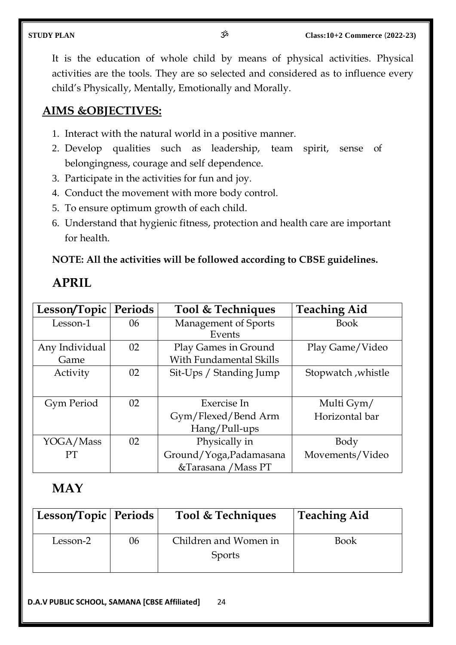It is the education of whole child by means of physical activities. Physical activities are the tools. They are so selected and considered as to influence every child's Physically, Mentally, Emotionally and Morally.

#### **AIMS &OBJECTIVES:**

- 1. Interact with the natural world in a positive manner.
- 2. Develop qualities such as leadership, team spirit, sense of belongingness, courage and self dependence.
- 3. Participate in the activities for fun and joy.
- 4. Conduct the movement with more body control.
- 5. To ensure optimum growth of each child.
- 6. Understand that hygienic fitness, protection and health care are important for health.

#### **NOTE: All the activities will be followed according to CBSE guidelines.**

### **APRIL**

| Lesson/Topic      | Periods | Tool & Techniques       | <b>Teaching Aid</b> |
|-------------------|---------|-------------------------|---------------------|
| Lesson-1          | 06      | Management of Sports    | <b>Book</b>         |
|                   |         | Events                  |                     |
| Any Individual    | 02      | Play Games in Ground    | Play Game/Video     |
| Game              |         | With Fundamental Skills |                     |
| Activity          | 02      | Sit-Ups / Standing Jump | Stopwatch, whistle  |
|                   |         |                         |                     |
| <b>Gym Period</b> | 02      | Exercise In             | Multi Gym/          |
|                   |         | Gym/Flexed/Bend Arm     | Horizontal bar      |
|                   |         | Hang/Pull-ups           |                     |
| YOGA/Mass         | 02      | Physically in           | Body                |
| <b>PT</b>         |         | Ground/Yoga, Padamasana | Movements/Video     |
|                   |         | &Tarasana / Mass PT     |                     |

## **MAY**

| 'Lesson/Topic   Periods |    | Tool & Techniques     | <b>Teaching Aid</b> |
|-------------------------|----|-----------------------|---------------------|
| Lesson-2                | 06 | Children and Women in | <b>Book</b>         |
|                         |    | Sports                |                     |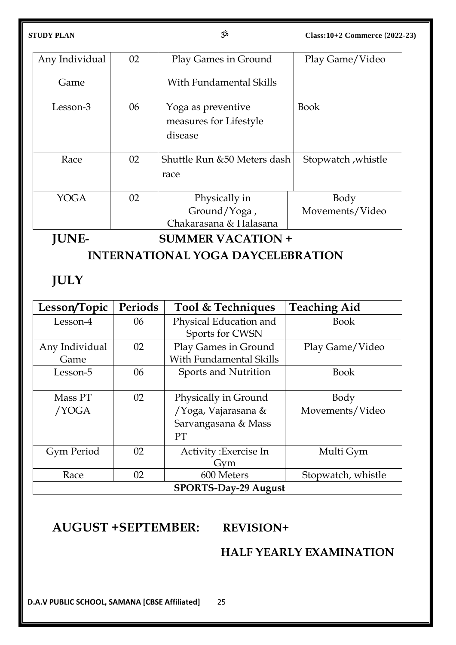| Any Individual | 02 | Play Games in Ground                                    | Play Game/Video         |
|----------------|----|---------------------------------------------------------|-------------------------|
| Game           |    | With Fundamental Skills                                 |                         |
| Lesson-3       | 06 | Yoga as preventive<br>measures for Lifestyle<br>disease | <b>Book</b>             |
| Race           | 02 | Shuttle Run & 50 Meters dash<br>race                    | Stopwatch, whistle      |
| YOGA           | 02 | Physically in<br>Ground/Yoga,<br>Chakarasana & Halasana | Body<br>Movements/Video |

**JUNE- SUMMER VACATION +** 

**INTERNATIONAL YOGA DAYCELEBRATION**

## **JULY**

| Lesson/Topic                | Periods | Tool & Techniques       | <b>Teaching Aid</b> |  |  |
|-----------------------------|---------|-------------------------|---------------------|--|--|
| Lesson-4                    | 06      | Physical Education and  | <b>Book</b>         |  |  |
|                             |         | Sports for CWSN         |                     |  |  |
| Any Individual              | 02      | Play Games in Ground    | Play Game/Video     |  |  |
| Game                        |         | With Fundamental Skills |                     |  |  |
| Lesson-5                    | 06      | Sports and Nutrition    | <b>Book</b>         |  |  |
|                             |         |                         |                     |  |  |
| Mass PT                     | 02      | Physically in Ground    | Body                |  |  |
| /YOGA                       |         | /Yoga, Vajarasana &     | Movements/Video     |  |  |
|                             |         | Sarvangasana & Mass     |                     |  |  |
|                             |         | <b>PT</b>               |                     |  |  |
| <b>Gym Period</b>           | 02      | Activity: Exercise In   | Multi Gym           |  |  |
|                             |         | Gym                     |                     |  |  |
| Race                        | 02      | 600 Meters              | Stopwatch, whistle  |  |  |
| <b>SPORTS-Day-29 August</b> |         |                         |                     |  |  |

## **AUGUST +SEPTEMBER: REVISION+**

## **HALF YEARLY EXAMINATION**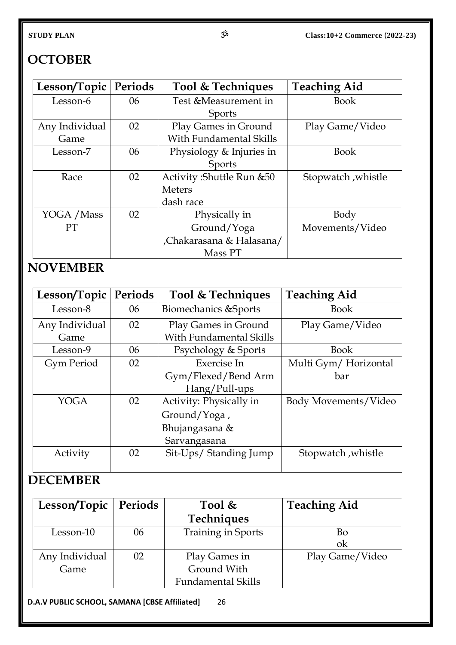## **OCTOBER**

| Lesson/Topic   | Periods | Tool & Techniques          | <b>Teaching Aid</b> |
|----------------|---------|----------------------------|---------------------|
| Lesson-6       | 06      | Test & Measurement in      | <b>Book</b>         |
|                |         | <b>Sports</b>              |                     |
| Any Individual | 02      | Play Games in Ground       | Play Game/Video     |
| Game           |         | With Fundamental Skills    |                     |
| Lesson-7       | 06      | Physiology & Injuries in   | <b>Book</b>         |
|                |         | <b>Sports</b>              |                     |
| Race           | 02      | Activity: Shuttle Run & 50 | Stopwatch, whistle  |
|                |         | <b>Meters</b>              |                     |
|                |         | dash race                  |                     |
| YOGA / Mass    | 02      | Physically in              | Body                |
| <b>PT</b>      |         | Ground/Yoga                | Movements/Video     |
|                |         | Chakarasana & Halasana/    |                     |
|                |         | Mass PT                    |                     |

## **NOVEMBER**

| Lesson/Topic   | <b>Periods</b> | Tool & Techniques               | <b>Teaching Aid</b>  |
|----------------|----------------|---------------------------------|----------------------|
| Lesson-8       | 06             | <b>Biomechanics &amp;Sports</b> | <b>Book</b>          |
| Any Individual | 02             | Play Games in Ground            | Play Game/Video      |
| Game           |                | <b>With Fundamental Skills</b>  |                      |
| Lesson-9       | 06             | Psychology & Sports             | <b>Book</b>          |
| Gym Period     | 02             | Exercise In                     | Multi Gym/Horizontal |
|                |                | Gym/Flexed/Bend Arm             | bar                  |
|                |                | Hang/Pull-ups                   |                      |
| <b>YOGA</b>    | 02             | Activity: Physically in         | Body Movements/Video |
|                |                | Ground/Yoga,                    |                      |
|                |                | Bhujangasana &                  |                      |
|                |                | Sarvangasana                    |                      |
| Activity       | 02             | Sit-Ups/ Standing Jump          | Stopwatch, whistle   |
|                |                |                                 |                      |

## **DECEMBER**

| Lesson/Topic   Periods |    | Tool $\&$                 | <b>Teaching Aid</b> |
|------------------------|----|---------------------------|---------------------|
|                        |    | Techniques                |                     |
| Lesson-10              | 06 | <b>Training in Sports</b> | Bo                  |
|                        |    |                           | ok                  |
| Any Individual         | 02 | Play Games in             | Play Game/Video     |
| Game                   |    | Ground With               |                     |
|                        |    | <b>Fundamental Skills</b> |                     |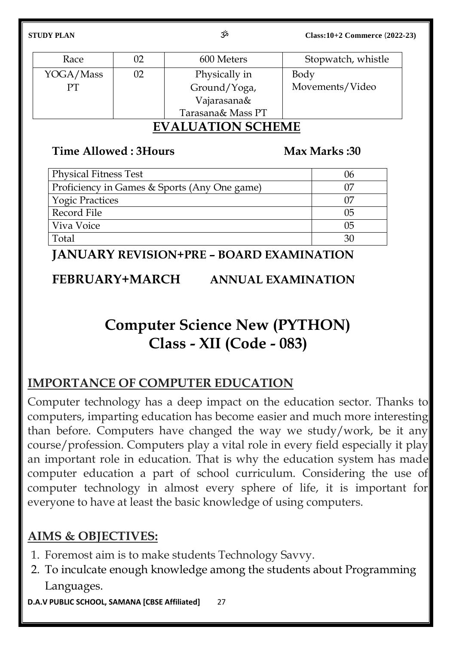| Race      | 02 | 600 Meters        | Stopwatch, whistle |
|-----------|----|-------------------|--------------------|
| YOGA/Mass | 02 | Physically in     | Body               |
| PТ        |    | Ground/Yoga,      | Movements/Video    |
|           |    | Vajarasana&       |                    |
|           |    | Tarasana& Mass PT |                    |

## **EVALUATION SCHEME**

## **Time Allowed : 3Hours Max Marks : 30**

| Physical Fitness Test                        | 06 |
|----------------------------------------------|----|
| Proficiency in Games & Sports (Any One game) |    |
| <b>Yogic Practices</b>                       |    |
| Record File                                  | 05 |
| Viva Voice                                   | 05 |
| Total                                        |    |

## **JANUARY REVISION+PRE – BOARD EXAMINATION**

## **FEBRUARY+MARCH ANNUAL EXAMINATION**

## **Computer Science New (PYTHON) Class - XII (Code - 083)**

## **IMPORTANCE OF COMPUTER EDUCATION**

Computer technology has a deep impact on the education sector. Thanks to computers, imparting education has become easier and much more interesting than before. Computers have changed the way we study/work, be it any course/profession. Computers play a vital role in every field especially it play an important role in education. That is why the education system has made computer education a part of school curriculum. Considering the use of computer technology in almost every sphere of life, it is important for everyone to have at least the basic knowledge of using computers.

## **AIMS & OBJECTIVES:**

- 1. Foremost aim is to make students Technology Savvy.
- 2. To inculcate enough knowledge among the students about Programming Languages.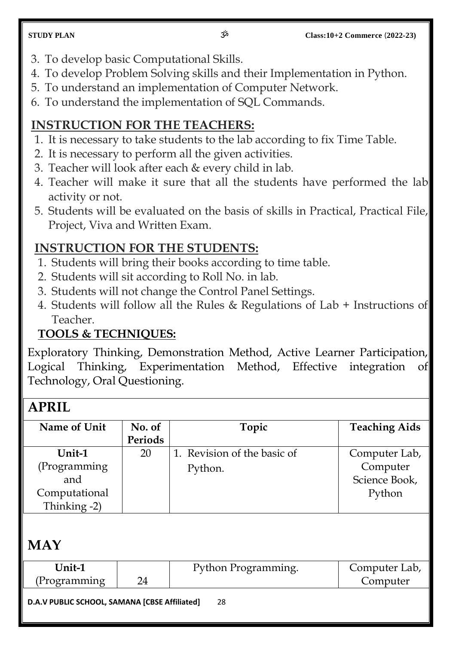- 3. To develop basic Computational Skills.
- 4. To develop Problem Solving skills and their Implementation in Python.
- 5. To understand an implementation of Computer Network.
- 6. To understand the implementation of SQL Commands.

## **INSTRUCTION FOR THE TEACHERS:**

- 1. It is necessary to take students to the lab according to fix Time Table.
- 2. It is necessary to perform all the given activities.
- 3. Teacher will look after each & every child in lab.
- 4. Teacher will make it sure that all the students have performed the lab activity or not.
- 5. Students will be evaluated on the basis of skills in Practical, Practical File, Project, Viva and Written Exam.

## **INSTRUCTION FOR THE STUDENTS:**

- 1. Students will bring their books according to time table.
- 2. Students will sit according to Roll No. in lab.
- 3. Students will not change the Control Panel Settings.
- 4. Students will follow all the Rules & Regulations of Lab + Instructions of Teacher.

## **TOOLS & TECHNIQUES:**

Exploratory Thinking, Demonstration Method, Active Learner Participation, Logical Thinking, Experimentation Method, Effective integration of Technology, Oral Questioning.

## **APRIL**

| Name of Unit  | No. of  | Topic                       | <b>Teaching Aids</b> |
|---------------|---------|-----------------------------|----------------------|
|               | Periods |                             |                      |
| Unit-1        | 20      | 1. Revision of the basic of | Computer Lab,        |
| (Programming  |         | Python.                     | Computer             |
| and           |         |                             | Science Book,        |
| Computational |         |                             | Python               |
| Thinking -2)  |         |                             |                      |

## **MAY**

| Unit-1                                                                                                                                                                                                                                                                                                                                        | Python Programming. | Computer Lab, |
|-----------------------------------------------------------------------------------------------------------------------------------------------------------------------------------------------------------------------------------------------------------------------------------------------------------------------------------------------|---------------------|---------------|
| (Programming)                                                                                                                                                                                                                                                                                                                                 |                     | Computer      |
| $P_{\text{max}}$ and $P_{\text{max}}$ are $P_{\text{max}}$ and $P_{\text{max}}$ and $P_{\text{max}}$ are $P_{\text{max}}$ and $P_{\text{max}}$ are $P_{\text{max}}$ and $P_{\text{max}}$ are $P_{\text{max}}$ and $P_{\text{max}}$ are $P_{\text{max}}$ and $P_{\text{max}}$ are $P_{\text{max}}$ and $P_{\text{max}}$ are $P_{\text{max}}$ a | ~~                  |               |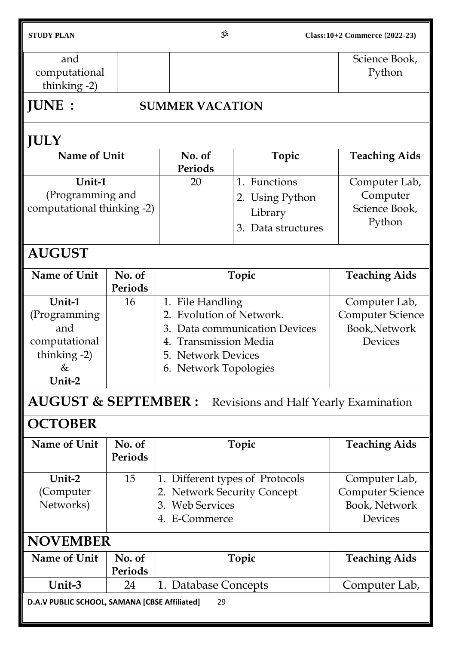| <b>STUDY PLAN</b>                                                                |                                                                         | مرّخ<br>Class:10+2 Commerce (2022-23)                                                              |                                                                                                                                                            |                                                                      |  |  |
|----------------------------------------------------------------------------------|-------------------------------------------------------------------------|----------------------------------------------------------------------------------------------------|------------------------------------------------------------------------------------------------------------------------------------------------------------|----------------------------------------------------------------------|--|--|
| and<br>computational<br>thinking $-2$ )                                          |                                                                         |                                                                                                    |                                                                                                                                                            | Science Book,<br>Python                                              |  |  |
| <b>JUNE:</b>                                                                     |                                                                         | <b>SUMMER VACATION</b>                                                                             |                                                                                                                                                            |                                                                      |  |  |
| <b>JULY</b>                                                                      |                                                                         |                                                                                                    |                                                                                                                                                            |                                                                      |  |  |
| Name of Unit                                                                     |                                                                         | No. of<br>Periods                                                                                  | Topic                                                                                                                                                      | <b>Teaching Aids</b>                                                 |  |  |
| Unit-1                                                                           | (Programming and<br>computational thinking -2)                          |                                                                                                    | 1. Functions<br>2. Using Python<br>Library<br>3. Data structures                                                                                           | Computer Lab,<br>Computer<br>Science Book,<br>Python                 |  |  |
| <b>AUGUST</b>                                                                    |                                                                         |                                                                                                    |                                                                                                                                                            |                                                                      |  |  |
| <b>Name of Unit</b>                                                              | No. of<br>Periods                                                       |                                                                                                    | Topic                                                                                                                                                      | <b>Teaching Aids</b>                                                 |  |  |
| Unit-1<br>(Programming<br>and<br>computational<br>thinking $-2$ )<br>&<br>Unit-2 | 16                                                                      | 3.<br>4.                                                                                           | 1. File Handling<br><b>Evolution of Network.</b><br>Data communication Devices<br><b>Transmission Media</b><br>5. Network Devices<br>6. Network Topologies |                                                                      |  |  |
|                                                                                  | <b>AUGUST &amp; SEPTEMBER:</b><br>Revisions and Half Yearly Examination |                                                                                                    |                                                                                                                                                            |                                                                      |  |  |
| <b>OCTOBER</b>                                                                   |                                                                         |                                                                                                    |                                                                                                                                                            |                                                                      |  |  |
| Name of Unit                                                                     | No. of<br><b>Periods</b>                                                | Topic                                                                                              | <b>Teaching Aids</b>                                                                                                                                       |                                                                      |  |  |
| Unit-2<br>(Computer<br>Networks)                                                 | 15                                                                      | 1. Different types of Protocols<br>2. Network Security Concept<br>3. Web Services<br>4. E-Commerce |                                                                                                                                                            | Computer Lab,<br><b>Computer Science</b><br>Book, Network<br>Devices |  |  |
| <b>NOVEMBER</b>                                                                  |                                                                         |                                                                                                    |                                                                                                                                                            |                                                                      |  |  |
| Name of Unit                                                                     | No. of<br>Periods                                                       |                                                                                                    | Topic                                                                                                                                                      | <b>Teaching Aids</b>                                                 |  |  |
| Unit-3                                                                           | 24                                                                      | 1. Database Concepts                                                                               |                                                                                                                                                            | Computer Lab,                                                        |  |  |
| D.A.V PUBLIC SCHOOL, SAMANA [CBSE Affiliated]<br>29                              |                                                                         |                                                                                                    |                                                                                                                                                            |                                                                      |  |  |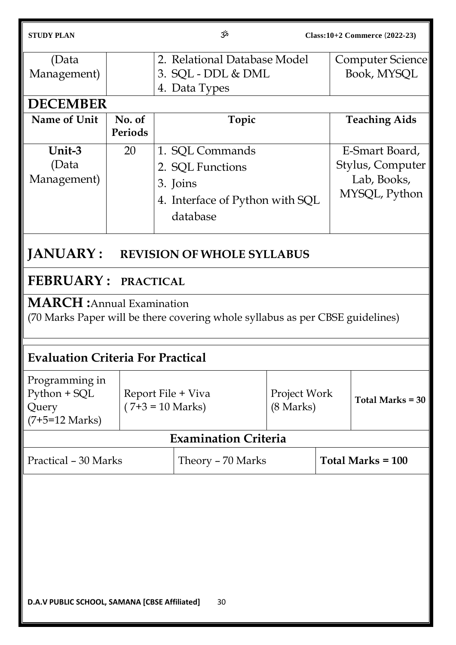| <b>STUDY PLAN</b>                                                                                                  |                                                  |                                                                                                | مرح<br>Class: 10+2 Commerce (2022-23) |                                     |                     |                                                                    |
|--------------------------------------------------------------------------------------------------------------------|--------------------------------------------------|------------------------------------------------------------------------------------------------|---------------------------------------|-------------------------------------|---------------------|--------------------------------------------------------------------|
| (Data<br>Management)                                                                                               |                                                  | 2. Relational Database Model<br>3. SQL - DDL & DML<br>4. Data Types                            |                                       |                                     |                     | Computer Science<br>Book, MYSQL                                    |
| <b>DECEMBER</b>                                                                                                    |                                                  |                                                                                                |                                       |                                     |                     |                                                                    |
| <b>Name of Unit</b>                                                                                                | No. of<br>Periods                                |                                                                                                | Topic                                 |                                     |                     | <b>Teaching Aids</b>                                               |
| Unit-3<br>(Data<br>Management)                                                                                     | 20                                               | 1. SQL Commands<br>2. SQL Functions<br>3. Joins<br>4. Interface of Python with SQL<br>database |                                       |                                     |                     | E-Smart Board,<br>Stylus, Computer<br>Lab, Books,<br>MYSQL, Python |
| JANUARY:                                                                                                           |                                                  |                                                                                                | <b>REVISION OF WHOLE SYLLABUS</b>     |                                     |                     |                                                                    |
| <b>FEBRUARY: PRACTICAL</b>                                                                                         |                                                  |                                                                                                |                                       |                                     |                     |                                                                    |
| <b>MARCH</b> : Annual Examination<br>(70 Marks Paper will be there covering whole syllabus as per CBSE guidelines) |                                                  |                                                                                                |                                       |                                     |                     |                                                                    |
| <b>Evaluation Criteria For Practical</b>                                                                           |                                                  |                                                                                                |                                       |                                     |                     |                                                                    |
| Programming in<br>Python + SQL<br>Query<br>$(7+5=12 \text{ Marks})$                                                | Report File + Viva<br>$(7+3 = 10 \text{ Marks})$ |                                                                                                |                                       | Project Work<br>$(8 \text{ Marks})$ |                     | Total Marks $= 30$                                                 |
|                                                                                                                    |                                                  |                                                                                                | <b>Examination Criteria</b>           |                                     |                     |                                                                    |
| Practical - 30 Marks                                                                                               |                                                  |                                                                                                | Theory - 70 Marks                     |                                     | Total Marks $= 100$ |                                                                    |
| D.A.V PUBLIC SCHOOL, SAMANA [CBSE Affiliated]<br>30                                                                |                                                  |                                                                                                |                                       |                                     |                     |                                                                    |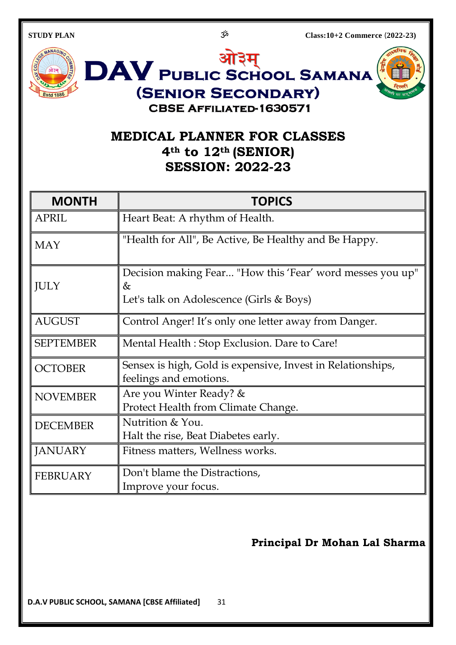

## **MEDICAL PLANNER FOR CLASSES 4th to 12th (SENIOR) SESSION: 2022-23**

| <b>MONTH</b>     | <b>TOPICS</b>                                                                                              |
|------------------|------------------------------------------------------------------------------------------------------------|
| <b>APRIL</b>     | Heart Beat: A rhythm of Health.                                                                            |
| <b>MAY</b>       | "Health for All", Be Active, Be Healthy and Be Happy.                                                      |
| <b>JULY</b>      | Decision making Fear "How this 'Fear' word messes you up"<br>&<br>Let's talk on Adolescence (Girls & Boys) |
| <b>AUGUST</b>    | Control Anger! It's only one letter away from Danger.                                                      |
| <b>SEPTEMBER</b> | Mental Health: Stop Exclusion. Dare to Care!                                                               |
| <b>OCTOBER</b>   | Sensex is high, Gold is expensive, Invest in Relationships,<br>feelings and emotions.                      |
| <b>NOVEMBER</b>  | Are you Winter Ready? &<br>Protect Health from Climate Change.                                             |
| <b>DECEMBER</b>  | Nutrition & You.<br>Halt the rise, Beat Diabetes early.                                                    |
| <b>JANUARY</b>   | Fitness matters, Wellness works.                                                                           |
| <b>FEBRUARY</b>  | Don't blame the Distractions,<br>Improve your focus.                                                       |

### **Principal Dr Mohan Lal Sharma**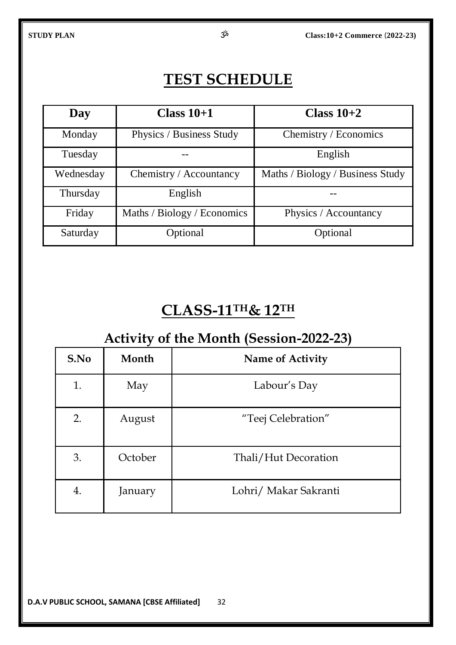## **TEST SCHEDULE**

| Day       | Class $10+1$                | Class $10+2$                     |
|-----------|-----------------------------|----------------------------------|
| Monday    | Physics / Business Study    | Chemistry / Economics            |
| Tuesday   |                             | English                          |
| Wednesday | Chemistry / Accountancy     | Maths / Biology / Business Study |
| Thursday  | English                     |                                  |
| Friday    | Maths / Biology / Economics | Physics / Accountancy            |
| Saturday  | Optional                    | Optional                         |

## **CLASS-11TH& 12TH**

## **Activity of the Month (Session-2022-23)**

| S.No | Month   | <b>Name of Activity</b> |
|------|---------|-------------------------|
| 1.   | May     | Labour's Day            |
| 2.   | August  | "Teej Celebration"      |
| 3.   | October | Thali/Hut Decoration    |
| 4.   | January | Lohri/ Makar Sakranti   |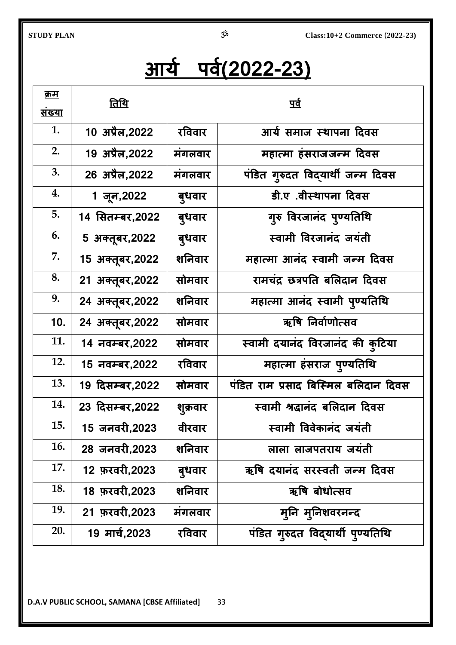# **आर्य ऩर्य(2022-23)**

| <u>क्रम</u><br><u>संख्या</u> | <u>तिथि</u>      | <u>पर्व</u> |                                      |  |
|------------------------------|------------------|-------------|--------------------------------------|--|
| 1.                           | 10 अप्रैल,2022   | रविवार      | आर्य समाज स्थापना दिवस               |  |
| 2.                           | 19 अप्रैल, 2022  | मंगलवार     | महात्मा हंसराजजन्म दिवस              |  |
| 3.                           | 26 अप्रैल,2022   | मंगलवार     | पंडित गुरुदत विद्यार्थी जन्म दिवस    |  |
| 4.                           | 1 जून,2022       | बुधवार      | डी.ए .वीस्थापना दिवस                 |  |
| 5.                           | 14 सितम्बर,2022  | बुधवार      | गुरु विरजानंद पुण्यतिथि              |  |
| 6.                           | 5 अक्तूबर, 2022  | बुधवार      | स्वामी विरजानंद जयंती                |  |
| 7.                           | 15 अक्तूबर, 2022 | शनिवार      | महात्मा आनंद स्वामी जन्म दिवस        |  |
| 8.                           | 21 अक्तूबर,2022  | सोमवार      | रामचंद्र छत्रपति बलिदान दिवस         |  |
| 9.                           | 24 अक्तूबर, 2022 | शनिवार      | महात्मा आनंद स्वामी पुण्यतिथि        |  |
| 10.                          | 24 अक्तूबर, 2022 | सोमवार      | ऋषि निर्वाणोत्सव                     |  |
| 11.                          | 14 नवम्बर, 2022  | सोमवार      | स्वामी दयानंद विरजानंद की कुटिया     |  |
| 12.                          | 15 नवम्बर,2022   | रविवार      | महात्मा हंसराज पुण्यतिथि             |  |
| 13.                          | 19 दिसम्बर,2022  | सोमवार      | पंडित राम प्रसाद बिस्मिल बलिदान दिवस |  |
| 14.                          | 23 दिसम्बर, 2022 | शुक्रवार    | स्वामी श्रद्धानंद बलिदान दिवस        |  |
| 15.                          | 15 जनवरी,2023    | वीरवार      | स्वामी विवेकानंद जयंती               |  |
| 16.                          | 28 जनवरी,2023    | शनिवार      | लाला लाजपतराय जयंती                  |  |
| 17.                          | 12 फ़रवरी, 2023  | बुधवार      | ऋषि दयानंद सरस्वती जन्म दिवस         |  |
| 18.                          | 18 फ़रवरी,2023   | शनिवार      | ऋषि बोधोत्सव                         |  |
| 19.                          | 21 फ़रवरी, 2023  | मंगलवार     | मूनि मुनिशवरनन्द                     |  |
| 20.                          | 19 मार्च,2023    | रविवार      | पंडित गुरुदत विद्यार्थी पुण्यतिथि    |  |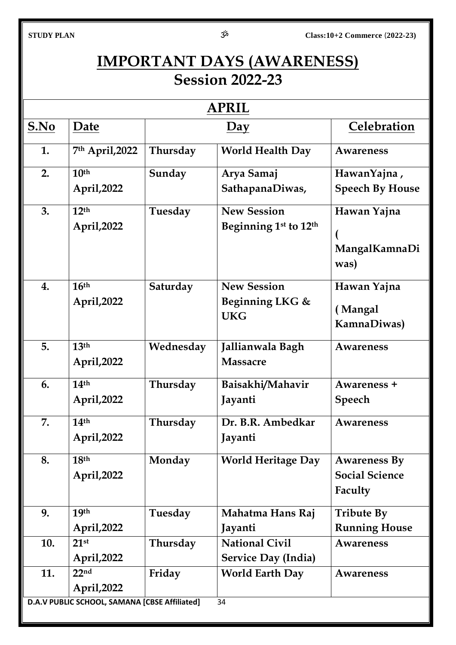## **IMPORTANT DAYS (AWARENESS) Session 2022-23**

|             |                                               |           | <b>APRIL</b>               |                        |
|-------------|-----------------------------------------------|-----------|----------------------------|------------------------|
| <u>S.No</u> | Date                                          |           | $\overline{Day}$           | Celebration            |
| 1.          | 7th April, 2022                               | Thursday  | <b>World Health Day</b>    | Awareness              |
| 2.          | 10 <sup>th</sup>                              | Sunday    | Arya Samaj                 | HawanYajna,            |
|             | April, 2022                                   |           | SathapanaDiwas,            | <b>Speech By House</b> |
| 3.          | 12 <sup>th</sup>                              | Tuesday   | <b>New Session</b>         | Hawan Yajna            |
|             | April, 2022                                   |           | Beginning 1st to 12th      |                        |
|             |                                               |           |                            | MangalKamnaDi          |
|             |                                               |           |                            | was)                   |
|             |                                               |           |                            |                        |
| 4.          | 16 <sup>th</sup>                              | Saturday  | <b>New Session</b>         | Hawan Yajna            |
|             | April, 2022                                   |           | Beginning LKG &            | (Mangal                |
|             |                                               |           | <b>UKG</b>                 | KamnaDiwas)            |
|             |                                               |           |                            |                        |
| 5.          | 13 <sup>th</sup>                              | Wednesday | Jallianwala Bagh           | Awareness              |
|             | April, 2022                                   |           | <b>Massacre</b>            |                        |
| 6.          | 14 <sup>th</sup>                              | Thursday  | Baisakhi/Mahavir           | Awareness +            |
|             | April, 2022                                   |           | Jayanti                    | <b>Speech</b>          |
| 7.          | 14 <sup>th</sup>                              | Thursday  | Dr. B.R. Ambedkar          | Awareness              |
|             | April, 2022                                   |           | Jayanti                    |                        |
|             |                                               |           |                            |                        |
| 8.          | 18 <sup>th</sup>                              | Monday    | <b>World Heritage Day</b>  | <b>Awareness By</b>    |
|             | April, 2022                                   |           |                            | <b>Social Science</b>  |
|             |                                               |           |                            | Faculty                |
| 9.          | 19 <sup>th</sup>                              | Tuesday   | Mahatma Hans Raj           | <b>Tribute By</b>      |
|             | April, 2022                                   |           | Jayanti                    | <b>Running House</b>   |
| 10.         | 21 <sup>st</sup>                              | Thursday  | <b>National Civil</b>      | Awareness              |
|             | April, 2022                                   |           | <b>Service Day (India)</b> |                        |
| 11.         | 22 <sub>nd</sub>                              | Friday    | <b>World Earth Day</b>     | Awareness              |
|             | April, 2022                                   |           |                            |                        |
|             | D.A.V PUBLIC SCHOOL, SAMANA [CBSE Affiliated] |           | 34                         |                        |
|             |                                               |           |                            |                        |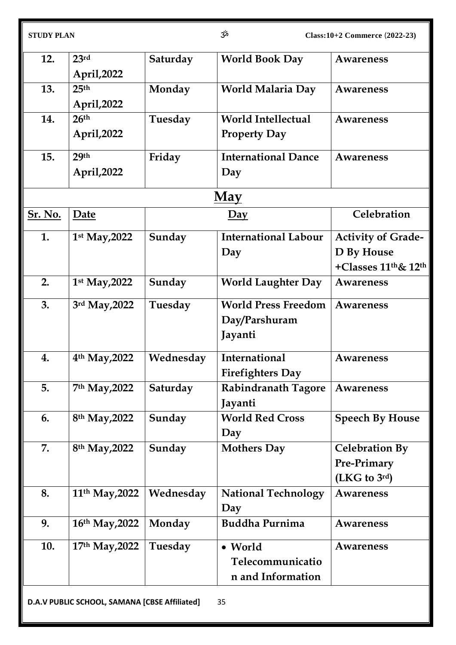| 12.            | 23 <sup>rd</sup>                              | Saturday  | <b>World Book Day</b>       | <b>Awareness</b>               |
|----------------|-----------------------------------------------|-----------|-----------------------------|--------------------------------|
|                | April, 2022                                   |           |                             |                                |
| 13.            | 25 <sup>th</sup>                              | Monday    | World Malaria Day           | <b>Awareness</b>               |
|                | April, 2022                                   |           |                             |                                |
| 14.            | 26 <sup>th</sup>                              | Tuesday   | <b>World Intellectual</b>   | <b>Awareness</b>               |
|                | April, 2022                                   |           | <b>Property Day</b>         |                                |
| 15.            | 29th                                          | Friday    | <b>International Dance</b>  | Awareness                      |
|                | April, 2022                                   |           | Day                         |                                |
|                |                                               |           | <b>May</b>                  |                                |
| <u>Sr. No.</u> | Date                                          |           | $\overline{Day}$            | Celebration                    |
| 1.             | 1st May, 2022                                 | Sunday    | <b>International Labour</b> | <b>Activity of Grade-</b>      |
|                |                                               |           | Day                         | D By House                     |
|                |                                               |           |                             | +Classes $11^{th}$ & $12^{th}$ |
| 2.             | 1st May, 2022                                 | Sunday    | <b>World Laughter Day</b>   | Awareness                      |
| 3.             | 3rd May, 2022                                 | Tuesday   | <b>World Press Freedom</b>  | Awareness                      |
|                |                                               |           | Day/Parshuram               |                                |
|                |                                               |           | Jayanti                     |                                |
| 4.             | 4 <sup>th</sup> May, 2022                     | Wednesday | International               | <b>Awareness</b>               |
|                |                                               |           | <b>Firefighters Day</b>     |                                |
| 5.             | 7th May, 2022                                 | Saturday  | <b>Rabindranath Tagore</b>  | Awareness                      |
|                |                                               |           | Jayanti                     |                                |
| 6.             | 8 <sup>th</sup> May, 2022                     | Sunday    | <b>World Red Cross</b>      | <b>Speech By House</b>         |
|                |                                               |           | Day                         |                                |
| 7.             | 8th May, 2022                                 | Sunday    | <b>Mothers Day</b>          | <b>Celebration By</b>          |
|                |                                               |           |                             | Pre-Primary                    |
|                |                                               |           |                             | (LKG to 3rd)                   |
| 8.             | 11 <sup>th</sup> May, 2022                    | Wednesday | <b>National Technology</b>  | Awareness                      |
|                |                                               |           | Day                         |                                |
| 9.             | 16th May, 2022                                | Monday    | <b>Buddha Purnima</b>       | <b>Awareness</b>               |
| 10.            | 17th May, 2022                                | Tuesday   | • World                     | <b>Awareness</b>               |
|                |                                               |           | Telecommunicatio            |                                |
|                |                                               |           | n and Information           |                                |
|                | D.A.V PUBLIC SCHOOL, SAMANA [CBSE Affiliated] |           | 35                          |                                |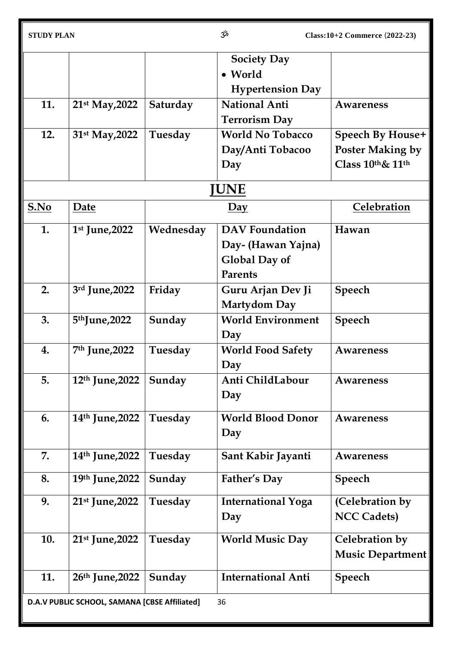| <b>STUDY PLAN</b> |  |
|-------------------|--|

|                                                     |                             |           | <b>Society Day</b>        |                         |
|-----------------------------------------------------|-----------------------------|-----------|---------------------------|-------------------------|
|                                                     |                             |           | • World                   |                         |
|                                                     |                             |           | <b>Hypertension Day</b>   |                         |
| 11.                                                 | 21 <sup>st</sup> May, 2022  | Saturday  | <b>National Anti</b>      | Awareness               |
|                                                     |                             |           | <b>Terrorism Day</b>      |                         |
| 12.                                                 | 31 <sup>st</sup> May, 2022  | Tuesday   | <b>World No Tobacco</b>   | <b>Speech By House+</b> |
|                                                     |                             |           | Day/Anti Tobacoo          | <b>Poster Making by</b> |
|                                                     |                             |           | Day                       | Class 10th& 11th        |
|                                                     |                             |           |                           |                         |
|                                                     |                             |           | <b>IUNE</b>               |                         |
| S.No                                                | Date                        |           | $\overline{Day}$          | Celebration             |
| 1.                                                  | 1st June, 2022              | Wednesday | <b>DAV</b> Foundation     | Hawan                   |
|                                                     |                             |           | Day- (Hawan Yajna)        |                         |
|                                                     |                             |           | <b>Global Day of</b>      |                         |
|                                                     |                             |           | <b>Parents</b>            |                         |
| 2.                                                  | 3rd June, 2022              | Friday    | Guru Arjan Dev Ji         | Speech                  |
|                                                     |                             |           | <b>Martydom Day</b>       |                         |
| 3.                                                  | 5 <sup>th</sup> June, 2022  | Sunday    | <b>World Environment</b>  | <b>Speech</b>           |
|                                                     |                             |           | Day                       |                         |
| 4.                                                  | 7 <sup>th</sup> June, 2022  | Tuesday   | <b>World Food Safety</b>  | <b>Awareness</b>        |
|                                                     |                             |           | Day                       |                         |
| 5.                                                  | 12 <sup>th</sup> June, 2022 | Sunday    | Anti ChildLabour          | Awareness               |
|                                                     |                             |           | Day                       |                         |
|                                                     |                             |           |                           |                         |
| 6.                                                  | 14 <sup>th</sup> June, 2022 | Tuesday   | <b>World Blood Donor</b>  | Awareness               |
|                                                     |                             |           | Day                       |                         |
| 7.                                                  | 14th June, 2022             | Tuesday   | Sant Kabir Jayanti        | Awareness               |
| 8.                                                  | 19th June, 2022             | Sunday    | Father's Day              | <b>Speech</b>           |
|                                                     |                             |           |                           |                         |
| 9.                                                  | 21 <sup>st</sup> June, 2022 | Tuesday   | <b>International Yoga</b> | (Celebration by         |
|                                                     |                             |           | Day                       | <b>NCC Cadets)</b>      |
| 10.                                                 | $21st$ June, 2022           | Tuesday   | <b>World Music Day</b>    | Celebration by          |
|                                                     |                             |           |                           | <b>Music Department</b> |
|                                                     |                             |           |                           |                         |
| 11.                                                 | 26th June, 2022             | Sunday    | <b>International Anti</b> | <b>Speech</b>           |
| 36<br>D.A.V PUBLIC SCHOOL, SAMANA [CBSE Affiliated] |                             |           |                           |                         |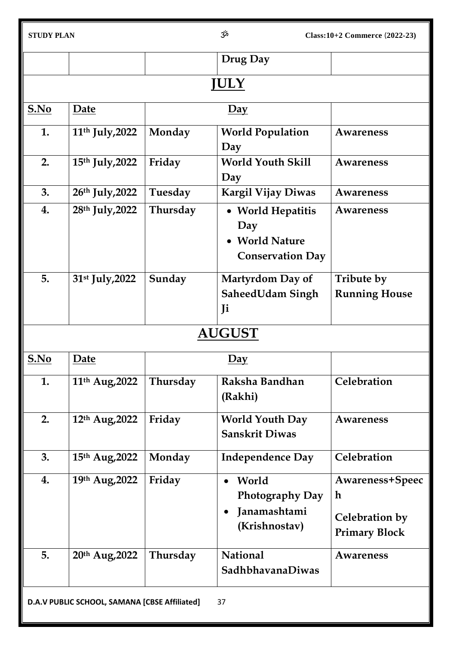| <b>STUDY PLAN</b>                                   |                             |          | مژح                                                                                        | $Class: 10+2$ Commerce $(2022-23)$                                              |  |
|-----------------------------------------------------|-----------------------------|----------|--------------------------------------------------------------------------------------------|---------------------------------------------------------------------------------|--|
|                                                     |                             |          | Drug Day                                                                                   |                                                                                 |  |
|                                                     | <b>JULY</b>                 |          |                                                                                            |                                                                                 |  |
| S.No                                                | Date                        |          | $\overline{Day}$                                                                           |                                                                                 |  |
| 1.                                                  | 11 <sup>th</sup> July, 2022 | Monday   | <b>World Population</b><br>Day                                                             | Awareness                                                                       |  |
| 2.                                                  | 15th July, 2022             | Friday   | <b>World Youth Skill</b><br>Day                                                            | <b>Awareness</b>                                                                |  |
| 3.                                                  | 26th July, 2022             | Tuesday  | <b>Kargil Vijay Diwas</b>                                                                  | Awareness                                                                       |  |
| 4.                                                  | 28 <sup>th</sup> July, 2022 | Thursday | • World Hepatitis<br>Day<br>• World Nature<br><b>Conservation Day</b>                      | Awareness                                                                       |  |
| 5.                                                  | 31st July, 2022             | Sunday   | <b>Martyrdom Day of</b><br><b>SaheedUdam Singh</b><br>Ji                                   | Tribute by<br><b>Running House</b>                                              |  |
|                                                     |                             |          | <b>AUGUST</b>                                                                              |                                                                                 |  |
| S.No                                                | Date                        |          | $\overline{Day}$                                                                           |                                                                                 |  |
| 1.                                                  | 11 <sup>th</sup> Aug, 2022  | Thursday | Raksha Bandhan<br>(Rakhi)                                                                  | Celebration                                                                     |  |
| 2.                                                  | 12th Aug, 2022              | Friday   | <b>World Youth Day</b><br><b>Sanskrit Diwas</b>                                            | Awareness                                                                       |  |
| 3.                                                  | 15th Aug, 2022              | Monday   | <b>Independence Day</b>                                                                    | Celebration                                                                     |  |
| 4.                                                  | 19th Aug, 2022              | Friday   | World<br>$\bullet$<br><b>Photography Day</b><br>Janamashtami<br>$\bullet$<br>(Krishnostav) | <b>Awareness+Speec</b><br>$\mathbf h$<br>Celebration by<br><b>Primary Block</b> |  |
| 5.                                                  | 20th Aug, 2022              | Thursday | <b>National</b><br><b>SadhbhavanaDiwas</b>                                                 | Awareness                                                                       |  |
| D.A.V PUBLIC SCHOOL, SAMANA [CBSE Affiliated]<br>37 |                             |          |                                                                                            |                                                                                 |  |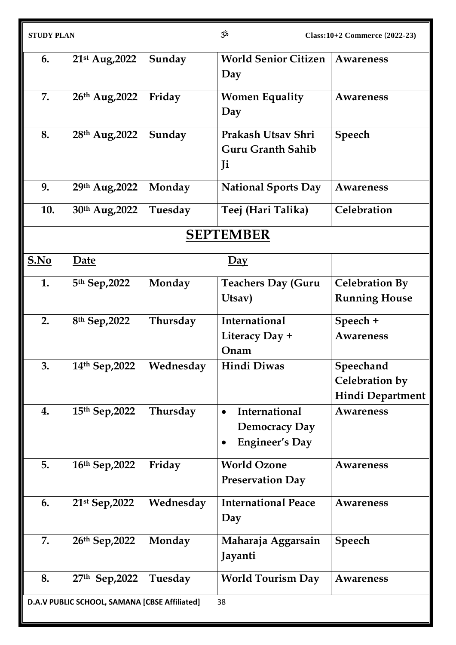| <b>STUDY PLAN</b> |                                               |           | مڅۍ                                                                         | Class:10+2 Commerce (2022-23)                          |
|-------------------|-----------------------------------------------|-----------|-----------------------------------------------------------------------------|--------------------------------------------------------|
| 6.                | 21st Aug, 2022                                | Sunday    | <b>World Senior Citizen</b><br>Day                                          | Awareness                                              |
| 7.                | 26th Aug, 2022                                | Friday    | <b>Women Equality</b><br>Day                                                | Awareness                                              |
| 8.                | 28th Aug, 2022                                | Sunday    | Prakash Utsav Shri<br><b>Guru Granth Sahib</b><br>Ji                        | Speech                                                 |
| 9.                | 29th Aug, 2022                                | Monday    | <b>National Sports Day</b>                                                  | Awareness                                              |
| 10.               | 30th Aug, 2022                                | Tuesday   | Teej (Hari Talika)                                                          | Celebration                                            |
|                   |                                               |           | <b>SEPTEMBER</b>                                                            |                                                        |
| S.No              | Date                                          |           | $\overline{Day}$                                                            |                                                        |
| 1.                | 5th Sep, 2022                                 | Monday    | <b>Teachers Day (Guru</b><br>Utsav)                                         | <b>Celebration By</b><br><b>Running House</b>          |
| 2.                | 8th Sep, 2022                                 | Thursday  | International<br>Literacy Day +<br>Onam                                     | Speech +<br><b>Awareness</b>                           |
| 3.                | 14th Sep, 2022                                | Wednesday | Hindi Diwas                                                                 | Speechand<br>Celebration by<br><b>Hindi Department</b> |
| 4.                | 15th Sep, 2022                                | Thursday  | International<br>$\bullet$<br><b>Democracy Day</b><br><b>Engineer's Day</b> | <b>Awareness</b>                                       |
| 5.                | 16th Sep, 2022                                | Friday    | <b>World Ozone</b><br><b>Preservation Day</b>                               | <b>Awareness</b>                                       |
| 6.                | 21st Sep, 2022                                | Wednesday | <b>International Peace</b><br>Day                                           | Awareness                                              |
| 7.                | 26th Sep, 2022                                | Monday    | Maharaja Aggarsain<br>Jayanti                                               | <b>Speech</b>                                          |
| 8.                | 27th Sep, 2022                                | Tuesday   | <b>World Tourism Day</b>                                                    | <b>Awareness</b>                                       |
|                   | D.A.V PUBLIC SCHOOL, SAMANA [CBSE Affiliated] |           | 38                                                                          |                                                        |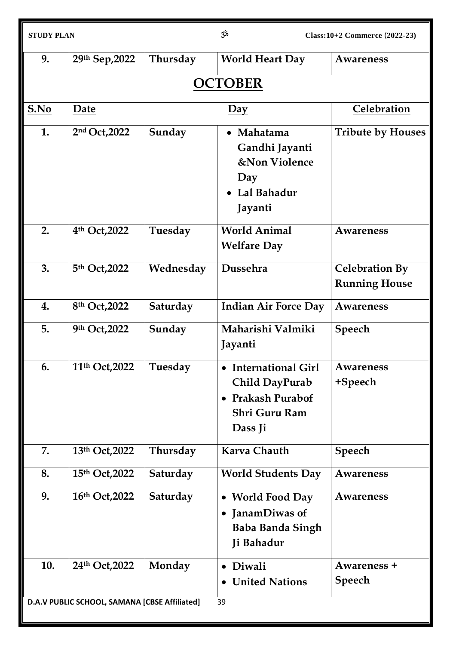| <b>STUDY PLAN</b>                                   |                | مژح<br>Class:10+2 Commerce (2022-23) |                                                                                              |                                               |  |  |
|-----------------------------------------------------|----------------|--------------------------------------|----------------------------------------------------------------------------------------------|-----------------------------------------------|--|--|
| 9.                                                  | 29th Sep, 2022 | Thursday                             | <b>World Heart Day</b>                                                                       | Awareness                                     |  |  |
|                                                     | <b>OCTOBER</b> |                                      |                                                                                              |                                               |  |  |
| S.No                                                | Date           |                                      | $\overline{Day}$                                                                             | Celebration                                   |  |  |
| 1.                                                  | 2nd Oct, 2022  | Sunday                               | • Mahatama<br>Gandhi Jayanti<br><b>&amp;Non Violence</b><br>Day<br>Lal Bahadur<br>Jayanti    | <b>Tribute by Houses</b>                      |  |  |
| 2.                                                  | 4th Oct, 2022  | Tuesday                              | <b>World Animal</b><br><b>Welfare Day</b>                                                    | Awareness                                     |  |  |
| 3.                                                  | 5th Oct, 2022  | Wednesday                            | Dussehra                                                                                     | <b>Celebration By</b><br><b>Running House</b> |  |  |
| 4.                                                  | 8th Oct, 2022  | Saturday                             | <b>Indian Air Force Day</b>                                                                  | Awareness                                     |  |  |
| 5.                                                  | 9th Oct, 2022  | Sunday                               | Maharishi Valmiki<br>Jayanti                                                                 | <b>Speech</b>                                 |  |  |
| 6.                                                  | 11th Oct, 2022 | Tuesday                              | <b>International Girl</b><br>Child DayPurab<br>• Prakash Purabof<br>Shri Guru Ram<br>Dass Ji | <b>Awareness</b><br>+Speech                   |  |  |
| 7.                                                  | 13th Oct, 2022 | Thursday                             | <b>Karva Chauth</b>                                                                          | <b>Speech</b>                                 |  |  |
| 8.                                                  | 15th Oct, 2022 | Saturday                             | <b>World Students Day</b>                                                                    | Awareness                                     |  |  |
| 9.                                                  | 16th Oct, 2022 | Saturday                             | • World Food Day<br>JanamDiwas of<br><b>Baba Banda Singh</b><br>Ji Bahadur                   | Awareness                                     |  |  |
| 10.                                                 | 24th Oct, 2022 | Monday                               | Diwali<br>$\bullet$<br><b>United Nations</b>                                                 | Awareness +<br><b>Speech</b>                  |  |  |
| D.A.V PUBLIC SCHOOL, SAMANA [CBSE Affiliated]<br>39 |                |                                      |                                                                                              |                                               |  |  |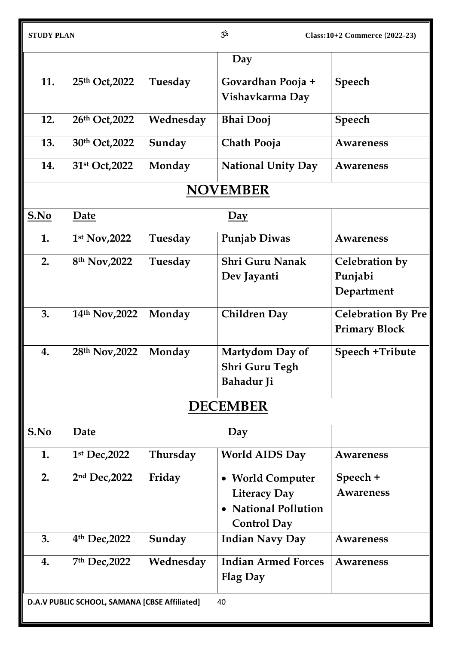|      |                                               |           | Day                                                                                        |                                                   |
|------|-----------------------------------------------|-----------|--------------------------------------------------------------------------------------------|---------------------------------------------------|
| 11.  | 25th Oct, 2022                                | Tuesday   | Govardhan Pooja +<br>Vishavkarma Day                                                       | Speech                                            |
| 12.  | 26th Oct, 2022                                | Wednesday | <b>Bhai Dooj</b>                                                                           | <b>Speech</b>                                     |
| 13.  | 30th Oct, 2022                                | Sunday    | Chath Pooja                                                                                | <b>Awareness</b>                                  |
| 14.  | 31 <sup>st</sup> Oct, 2022                    | Monday    | <b>National Unity Day</b>                                                                  | Awareness                                         |
|      |                                               |           | <b>NOVEMBER</b>                                                                            |                                                   |
| S.No | Date                                          |           | $Day$                                                                                      |                                                   |
| 1.   | 1 <sup>st</sup> Nov, 2022                     | Tuesday   | Punjab Diwas                                                                               | <b>Awareness</b>                                  |
| 2.   | 8 <sup>th</sup> Nov, 2022                     | Tuesday   | <b>Shri Guru Nanak</b><br>Dev Jayanti                                                      | Celebration by<br>Punjabi<br>Department           |
| 3.   | 14th Nov, 2022                                | Monday    | <b>Children Day</b>                                                                        | <b>Celebration By Pre</b><br><b>Primary Block</b> |
| 4.   | 28th Nov, 2022                                | Monday    | Martydom Day of<br><b>Shri Guru Tegh</b><br><b>Bahadur Ji</b>                              | Speech +Tribute                                   |
|      |                                               |           | <b>DECEMBER</b>                                                                            |                                                   |
| S.No | Date                                          |           | $\overline{Day}$                                                                           |                                                   |
| 1.   | 1st Dec, 2022                                 | Thursday  | World AIDS Day                                                                             | Awareness                                         |
| 2.   | 2nd Dec, 2022                                 | Friday    | • World Computer<br><b>Literacy Day</b><br><b>National Pollution</b><br><b>Control Day</b> | Speech +<br><b>Awareness</b>                      |
| 3.   | 4 <sup>th</sup> Dec, 2022                     | Sunday    | <b>Indian Navy Day</b>                                                                     | Awareness                                         |
| 4.   | 7th Dec, 2022                                 | Wednesday | <b>Indian Armed Forces</b><br><b>Flag Day</b>                                              | Awareness                                         |
|      | D.A.V PUBLIC SCHOOL, SAMANA [CBSE Affiliated] |           | 40                                                                                         |                                                   |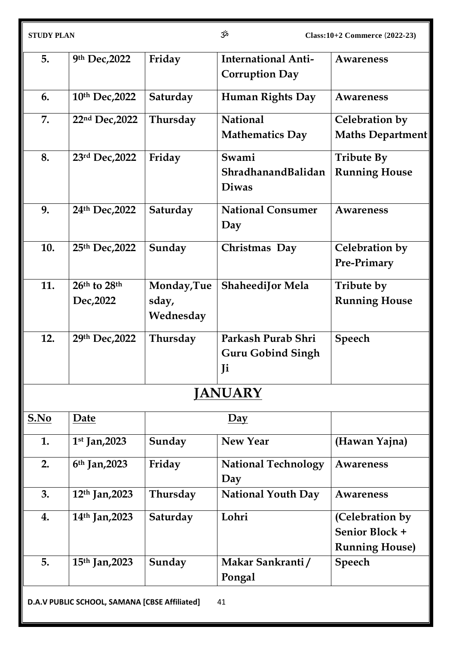| 5.   | 9th Dec, 2022                                 | Friday      | <b>International Anti-</b><br><b>Corruption Day</b> | <b>Awareness</b>              |
|------|-----------------------------------------------|-------------|-----------------------------------------------------|-------------------------------|
| 6.   | 10th Dec, 2022                                | Saturday    | <b>Human Rights Day</b>                             | <b>Awareness</b>              |
| 7.   | 22nd Dec, 2022                                | Thursday    | <b>National</b>                                     | Celebration by                |
|      |                                               |             | <b>Mathematics Day</b>                              | Maths Department              |
| 8.   | 23rd Dec, 2022                                | Friday      | Swami                                               | <b>Tribute By</b>             |
|      |                                               |             | ShradhanandBalidan<br><b>Diwas</b>                  | <b>Running House</b>          |
| 9.   | 24th Dec, 2022                                | Saturday    | <b>National Consumer</b><br>Day                     | <b>Awareness</b>              |
| 10.  | 25th Dec, 2022                                | Sunday      | Christmas Day                                       | Celebration by<br>Pre-Primary |
| 11.  | 26th to 28th                                  | Monday, Tue | <b>ShaheediJor Mela</b>                             | Tribute by                    |
|      | Dec, 2022                                     | sday,       |                                                     | <b>Running House</b>          |
|      |                                               | Wednesday   |                                                     |                               |
| 12.  | 29th Dec, 2022                                | Thursday    | Parkash Purab Shri                                  | <b>Speech</b>                 |
|      |                                               |             | <b>Guru Gobind Singh</b>                            |                               |
|      |                                               |             | Ji                                                  |                               |
|      |                                               |             | <b>JANUARY</b>                                      |                               |
| S.No | Date                                          |             | $\overline{Day}$                                    |                               |
| 1.   | $1st$ Jan, 2023                               | Sunday      | <b>New Year</b>                                     | (Hawan Yajna)                 |
| 2.   | $6th$ Jan, 2023                               | Friday      | <b>National Technology</b>                          | Awareness                     |
|      |                                               |             | Day                                                 |                               |
| 3.   | 12th Jan, 2023                                | Thursday    | <b>National Youth Day</b>                           | <b>Awareness</b>              |
| 4.   | 14 <sup>th</sup> Jan, 2023                    | Saturday    | Lohri                                               | (Celebration by               |
|      |                                               |             |                                                     | Senior Block +                |
|      |                                               |             |                                                     | <b>Running House)</b>         |
| 5.   | 15th Jan, 2023                                | Sunday      | Makar Sankranti/                                    | Speech                        |
|      |                                               |             | Pongal                                              |                               |
|      | D.A.V PUBLIC SCHOOL, SAMANA [CBSE Affiliated] |             | 41                                                  |                               |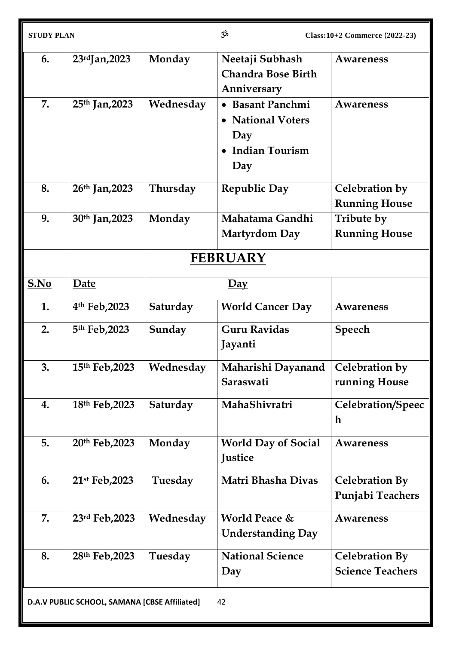| <b>STUDY PLAN</b> |                                               | مرّخ      | $Class: 10+2$ Commerce $(2022-23)$ |                         |
|-------------------|-----------------------------------------------|-----------|------------------------------------|-------------------------|
| 6.                | $23rd$ Jan, 2023                              | Monday    | Neetaji Subhash                    | Awareness               |
|                   |                                               |           | <b>Chandra Bose Birth</b>          |                         |
|                   |                                               |           | Anniversary                        |                         |
| 7.                | 25th Jan, 2023                                | Wednesday | • Basant Panchmi                   | Awareness               |
|                   |                                               |           | • National Voters                  |                         |
|                   |                                               |           | Day                                |                         |
|                   |                                               |           | • Indian Tourism                   |                         |
|                   |                                               |           | Day                                |                         |
| 8.                | 26 <sup>th</sup> Jan, 2023                    | Thursday  | <b>Republic Day</b>                | Celebration by          |
|                   |                                               |           |                                    | <b>Running House</b>    |
| 9.                | 30th Jan, 2023                                | Monday    | Mahatama Gandhi                    | Tribute by              |
|                   |                                               |           | <b>Martyrdom Day</b>               | <b>Running House</b>    |
|                   |                                               |           | <b>FEBRUARY</b>                    |                         |
| S.No              | Date                                          |           | $\overline{Day}$                   |                         |
| 1.                | 4 <sup>th</sup> Feb, 2023                     | Saturday  | <b>World Cancer Day</b>            | <b>Awareness</b>        |
| 2.                | 5th Feb, 2023                                 | Sunday    | <b>Guru Ravidas</b><br>Jayanti     | Speech                  |
|                   |                                               |           |                                    |                         |
| 3.                | 15th Feb, 2023                                | Wednesday | Maharishi Dayanand                 | Celebration by          |
|                   |                                               |           | Saraswati                          | running House           |
| 4.                | 18th Feb, 2023                                | Saturday  | MahaShivratri                      | Celebration/Speec       |
|                   |                                               |           |                                    | h                       |
| 5.                | 20th Feb, 2023                                | Monday    | <b>World Day of Social</b>         | <b>Awareness</b>        |
|                   |                                               |           | <b>Justice</b>                     |                         |
| 6.                | 21 <sup>st</sup> Feb, 2023                    | Tuesday   | Matri Bhasha Divas                 | <b>Celebration By</b>   |
|                   |                                               |           |                                    | Punjabi Teachers        |
| 7.                | 23rd Feb, 2023                                | Wednesday | <b>World Peace &amp;</b>           | <b>Awareness</b>        |
|                   |                                               |           | <b>Understanding Day</b>           |                         |
| 8.                | 28th Feb, 2023                                | Tuesday   | <b>National Science</b>            | <b>Celebration By</b>   |
|                   |                                               |           | Day                                | <b>Science Teachers</b> |
|                   | D.A.V PUBLIC SCHOOL, SAMANA [CBSE Affiliated] |           | 42                                 |                         |
|                   |                                               |           |                                    |                         |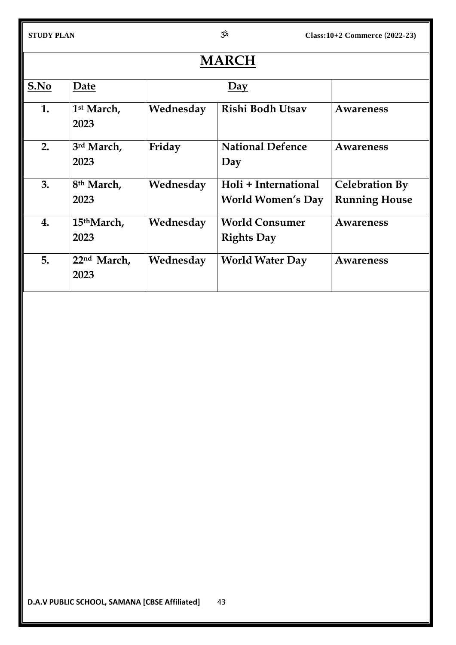| <b>MARCH</b> |                                 |           |                                                  |                                               |
|--------------|---------------------------------|-----------|--------------------------------------------------|-----------------------------------------------|
| S.No         | Date                            | Day       |                                                  |                                               |
| 1.           | 1 <sup>st</sup> March,<br>2023  | Wednesday | Rishi Bodh Utsav                                 | Awareness                                     |
| 2.           | 3rd March,<br>2023              | Friday    | <b>National Defence</b><br>Day                   | <b>Awareness</b>                              |
| 3.           | 8 <sup>th</sup> March,<br>2023  | Wednesday | Holi + International<br><b>World Women's Day</b> | <b>Celebration By</b><br><b>Running House</b> |
| 4.           | 15 <sup>th</sup> March,<br>2023 | Wednesday | <b>World Consumer</b><br><b>Rights Day</b>       | Awareness                                     |
| 5.           | 22nd March,<br>2023             | Wednesday | <b>World Water Day</b>                           | Awareness                                     |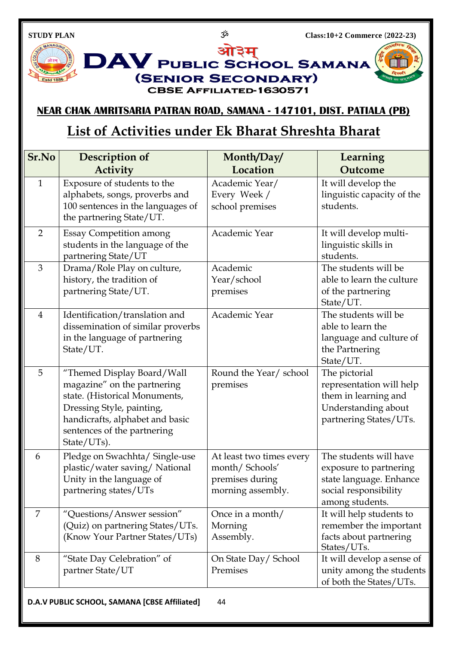**Estd 1886** 

**DAV** PUBLIC SCHOOL SAMANA

**(SENIOR SECONDARY)** 

**CBSE AFFILIATED-1630571** 

ओ३म्

## **NEAR CHAK AMRITSARIA PATRAN ROAD, SAMANA - 147101, DIST. PATIALA (PB)**

## **List of Activities under Ek Bharat Shreshta Bharat**

| Sr.No                                               | Description of                                                                                                                                                                                           | Month/Day/                                                                         | Learning                                                                                                                |
|-----------------------------------------------------|----------------------------------------------------------------------------------------------------------------------------------------------------------------------------------------------------------|------------------------------------------------------------------------------------|-------------------------------------------------------------------------------------------------------------------------|
|                                                     | <b>Activity</b>                                                                                                                                                                                          | Location                                                                           | Outcome                                                                                                                 |
| $\mathbf{1}$                                        | Exposure of students to the<br>alphabets, songs, proverbs and<br>100 sentences in the languages of<br>the partnering State/UT.                                                                           | Academic Year/<br>Every Week /<br>school premises                                  | It will develop the<br>linguistic capacity of the<br>students.                                                          |
| $\overline{2}$                                      | <b>Essay Competition among</b><br>students in the language of the<br>partnering State/UT                                                                                                                 | Academic Year                                                                      | It will develop multi-<br>linguistic skills in<br>students.                                                             |
| 3                                                   | Drama/Role Play on culture,<br>history, the tradition of<br>partnering State/UT.                                                                                                                         | Academic<br>Year/school<br>premises                                                | The students will be<br>able to learn the culture<br>of the partnering<br>State/UT.                                     |
| $\overline{4}$                                      | Identification/translation and<br>dissemination of similar proverbs<br>in the language of partnering<br>State/UT.                                                                                        | Academic Year                                                                      | The students will be<br>able to learn the<br>language and culture of<br>the Partnering<br>State/UT.                     |
| 5                                                   | "Themed Display Board/Wall<br>magazine" on the partnering<br>state. (Historical Monuments,<br>Dressing Style, painting,<br>handicrafts, alphabet and basic<br>sentences of the partnering<br>State/UTs). | Round the Year/ school<br>premises                                                 | The pictorial<br>representation will help<br>them in learning and<br>Understanding about<br>partnering States/UTs.      |
| 6                                                   | Pledge on Swachhta/ Single-use<br>plastic/water saving/National<br>Unity in the language of<br>partnering states/UTs                                                                                     | At least two times every<br>month/Schools'<br>premises during<br>morning assembly. | The students will have<br>exposure to partnering<br>state language. Enhance<br>social responsibility<br>among students. |
| 7                                                   | "Questions/Answer session"<br>(Quiz) on partnering States/UTs.<br>(Know Your Partner States/UTs)                                                                                                         | Once in a month/<br>Morning<br>Assembly.                                           | It will help students to<br>remember the important<br>facts about partnering<br>States/UTs.                             |
| 8                                                   | "State Day Celebration" of<br>partner State/UT                                                                                                                                                           | On State Day/ School<br>Premises                                                   | It will develop a sense of<br>unity among the students<br>of both the States/UTs.                                       |
| 44<br>D.A.V PUBLIC SCHOOL, SAMANA [CBSE Affiliated] |                                                                                                                                                                                                          |                                                                                    |                                                                                                                         |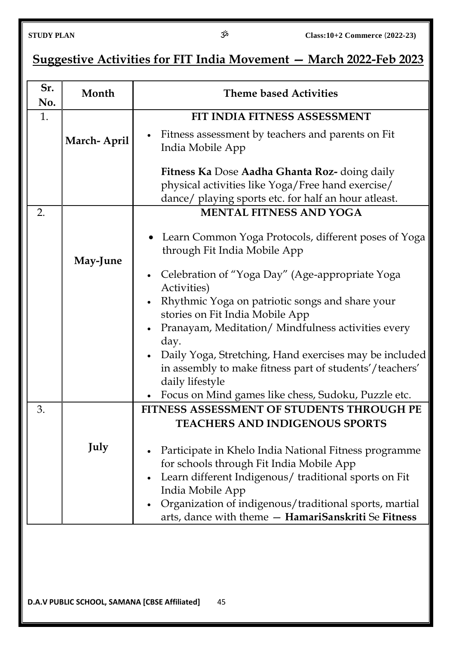| Suggestive Activities for FIT India Movement – March 2022-Feb 2023 |
|--------------------------------------------------------------------|
|--------------------------------------------------------------------|

| Sr.<br>No. | Month       | <b>Theme based Activities</b>                                                                                                                          |  |  |
|------------|-------------|--------------------------------------------------------------------------------------------------------------------------------------------------------|--|--|
| 1.         |             | FIT INDIA FITNESS ASSESSMENT                                                                                                                           |  |  |
|            | March-April | Fitness assessment by teachers and parents on Fit<br>India Mobile App                                                                                  |  |  |
|            |             | Fitness Ka Dose Aadha Ghanta Roz- doing daily                                                                                                          |  |  |
|            |             | physical activities like Yoga/Free hand exercise/                                                                                                      |  |  |
|            |             | dance/ playing sports etc. for half an hour atleast.                                                                                                   |  |  |
| 2.         |             | <b>MENTAL FITNESS AND YOGA</b>                                                                                                                         |  |  |
|            | May-June    | • Learn Common Yoga Protocols, different poses of Yoga<br>through Fit India Mobile App<br>Celebration of "Yoga Day" (Age-appropriate Yoga<br>$\bullet$ |  |  |
|            |             | Activities)                                                                                                                                            |  |  |
|            |             | Rhythmic Yoga on patriotic songs and share your<br>stories on Fit India Mobile App                                                                     |  |  |
|            |             | Pranayam, Meditation/Mindfulness activities every<br>$\bullet$<br>day.                                                                                 |  |  |
|            |             | Daily Yoga, Stretching, Hand exercises may be included<br>$\bullet$<br>in assembly to make fitness part of students'/teachers'<br>daily lifestyle      |  |  |
|            |             | Focus on Mind games like chess, Sudoku, Puzzle etc.                                                                                                    |  |  |
| 3.         |             | FITNESS ASSESSMENT OF STUDENTS THROUGH PE<br><b>TEACHERS AND INDIGENOUS SPORTS</b>                                                                     |  |  |
|            | July        | Participate in Khelo India National Fitness programme                                                                                                  |  |  |
|            |             | for schools through Fit India Mobile App                                                                                                               |  |  |
|            |             | Learn different Indigenous/traditional sports on Fit                                                                                                   |  |  |
|            |             | India Mobile App                                                                                                                                       |  |  |
|            |             | Organization of indigenous/traditional sports, martial<br>arts, dance with theme - HamariSanskriti Se Fitness                                          |  |  |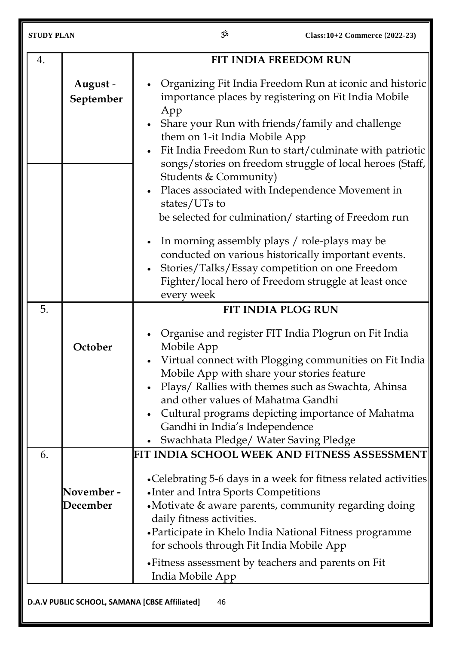| <b>STUDY PLAN</b>                                   |                        | مرّ3<br>Class: 10+2 Commerce (2022-23)                                                                                                                                                                                                                                                                                                                                                                                                                                                   |  |  |
|-----------------------------------------------------|------------------------|------------------------------------------------------------------------------------------------------------------------------------------------------------------------------------------------------------------------------------------------------------------------------------------------------------------------------------------------------------------------------------------------------------------------------------------------------------------------------------------|--|--|
| 4.                                                  |                        | FIT INDIA FREEDOM RUN                                                                                                                                                                                                                                                                                                                                                                                                                                                                    |  |  |
|                                                     | August -<br>September  | Organizing Fit India Freedom Run at iconic and historic<br>importance places by registering on Fit India Mobile<br>App<br>Share your Run with friends/family and challenge<br>them on 1-it India Mobile App<br>Fit India Freedom Run to start/culminate with patriotic<br>songs/stories on freedom struggle of local heroes (Staff,<br>Students & Community)<br>Places associated with Independence Movement in<br>states/UTs to<br>be selected for culmination/ starting of Freedom run |  |  |
|                                                     |                        | In morning assembly plays / role-plays may be<br>conducted on various historically important events.<br>Stories/Talks/Essay competition on one Freedom<br>Fighter/local hero of Freedom struggle at least once<br>every week                                                                                                                                                                                                                                                             |  |  |
| 5.                                                  |                        | FIT INDIA PLOG RUN                                                                                                                                                                                                                                                                                                                                                                                                                                                                       |  |  |
|                                                     | October                | Organise and register FIT India Plogrun on Fit India<br>Mobile App<br>• Virtual connect with Plogging communities on Fit India<br>Mobile App with share your stories feature<br>Plays/ Rallies with themes such as Swachta, Ahinsa<br>and other values of Mahatma Gandhi<br>Cultural programs depicting importance of Mahatma<br>Gandhi in India's Independence<br>Swachhata Pledge/ Water Saving Pledge<br>$\bullet$                                                                    |  |  |
| 6.                                                  |                        | FIT INDIA SCHOOL WEEK AND FITNESS ASSESSMENT                                                                                                                                                                                                                                                                                                                                                                                                                                             |  |  |
|                                                     | November -<br>December | •Celebrating 5-6 days in a week for fitness related activities<br>• Inter and Intra Sports Competitions<br>•Motivate & aware parents, community regarding doing<br>daily fitness activities.<br>• Participate in Khelo India National Fitness programme<br>for schools through Fit India Mobile App                                                                                                                                                                                      |  |  |
|                                                     |                        | • Fitness assessment by teachers and parents on Fit<br>India Mobile App                                                                                                                                                                                                                                                                                                                                                                                                                  |  |  |
| D.A.V PUBLIC SCHOOL, SAMANA [CBSE Affiliated]<br>46 |                        |                                                                                                                                                                                                                                                                                                                                                                                                                                                                                          |  |  |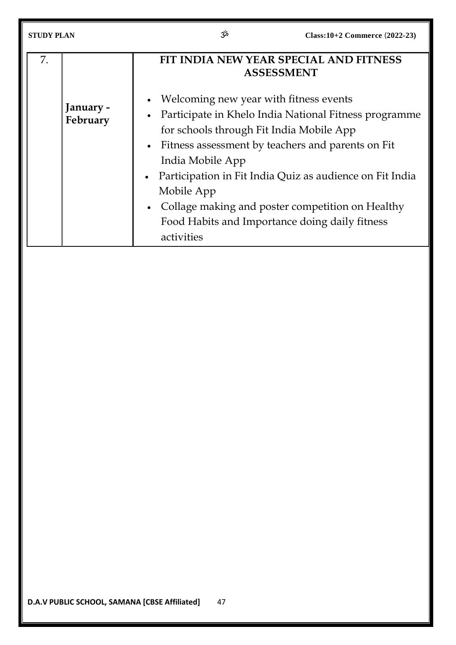| <b>STUDY PLAN</b> |                       | αξ                                                                                                                                                                                                | Class:10+2 Commerce (2022-23)                                                                                                                                                                                              |  |
|-------------------|-----------------------|---------------------------------------------------------------------------------------------------------------------------------------------------------------------------------------------------|----------------------------------------------------------------------------------------------------------------------------------------------------------------------------------------------------------------------------|--|
| 7.                |                       | FIT INDIA NEW YEAR SPECIAL AND FITNESS<br><b>ASSESSMENT</b>                                                                                                                                       |                                                                                                                                                                                                                            |  |
|                   | January -<br>February | Welcoming new year with fitness events<br>for schools through Fit India Mobile App<br>India Mobile App<br>$\bullet$<br>Mobile App<br>Food Habits and Importance doing daily fitness<br>activities | Participate in Khelo India National Fitness programme<br>Fitness assessment by teachers and parents on Fit<br>Participation in Fit India Quiz as audience on Fit India<br>Collage making and poster competition on Healthy |  |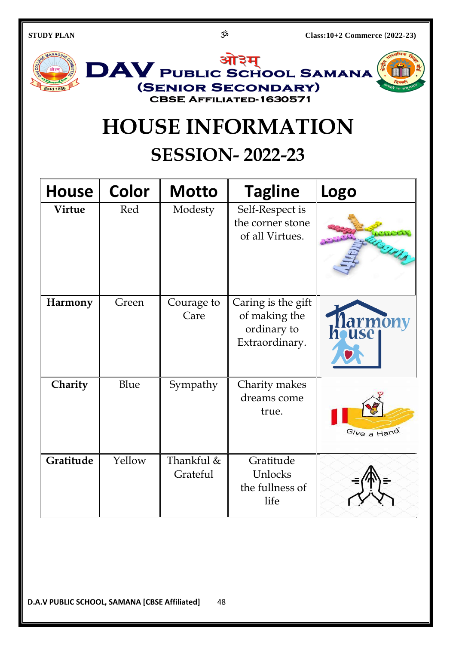

## **HOUSE INFORMATION**

## **SESSION- 2022-23**

| <b>House</b>  | <b>Color</b> | <b>Motto</b>           | <b>Tagline</b>                                                       | Logo             |
|---------------|--------------|------------------------|----------------------------------------------------------------------|------------------|
| <b>Virtue</b> | Red          | Modesty                | Self-Respect is<br>the corner stone<br>of all Virtues.               |                  |
| Harmony       | Green        | Courage to<br>Care     | Caring is the gift<br>of making the<br>ordinary to<br>Extraordinary. | Marmony<br>house |
| Charity       | Blue         | Sympathy               | Charity makes<br>dreams come<br>true.                                | Give a Hand      |
| Gratitude     | Yellow       | Thankful &<br>Grateful | Gratitude<br>Unlocks<br>the fullness of<br>life                      |                  |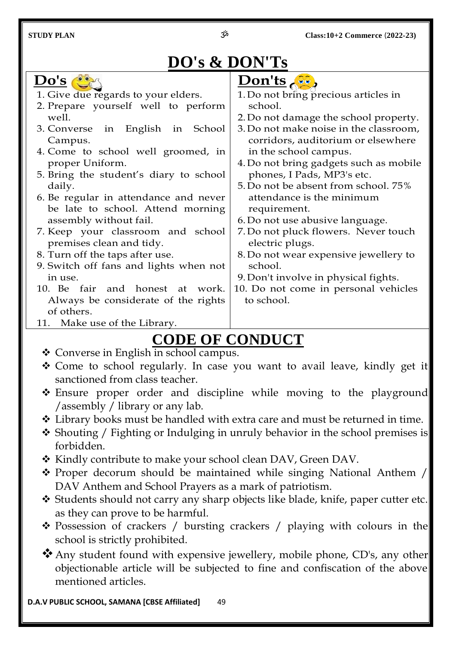## **DO's & DON'Ts**



## **CODE OF CONDUCT**

- Converse in English in school campus.
- Come to school regularly. In case you want to avail leave, kindly get it sanctioned from class teacher.
- \* Ensure proper order and discipline while moving to the playground /assembly / library or any lab.
- Library books must be handled with extra care and must be returned in time.
- \* Shouting / Fighting or Indulging in unruly behavior in the school premises is forbidden.
- \* Kindly contribute to make your school clean DAV, Green DAV.
- Proper decorum should be maintained while singing National Anthem / DAV Anthem and School Prayers as a mark of patriotism.
- Students should not carry any sharp objects like blade, knife, paper cutter etc. as they can prove to be harmful.
- \* Possession of crackers / bursting crackers / playing with colours in the school is strictly prohibited.
- Any student found with expensive jewellery, mobile phone, CD's, any other objectionable article will be subjected to fine and confiscation of the above mentioned articles.